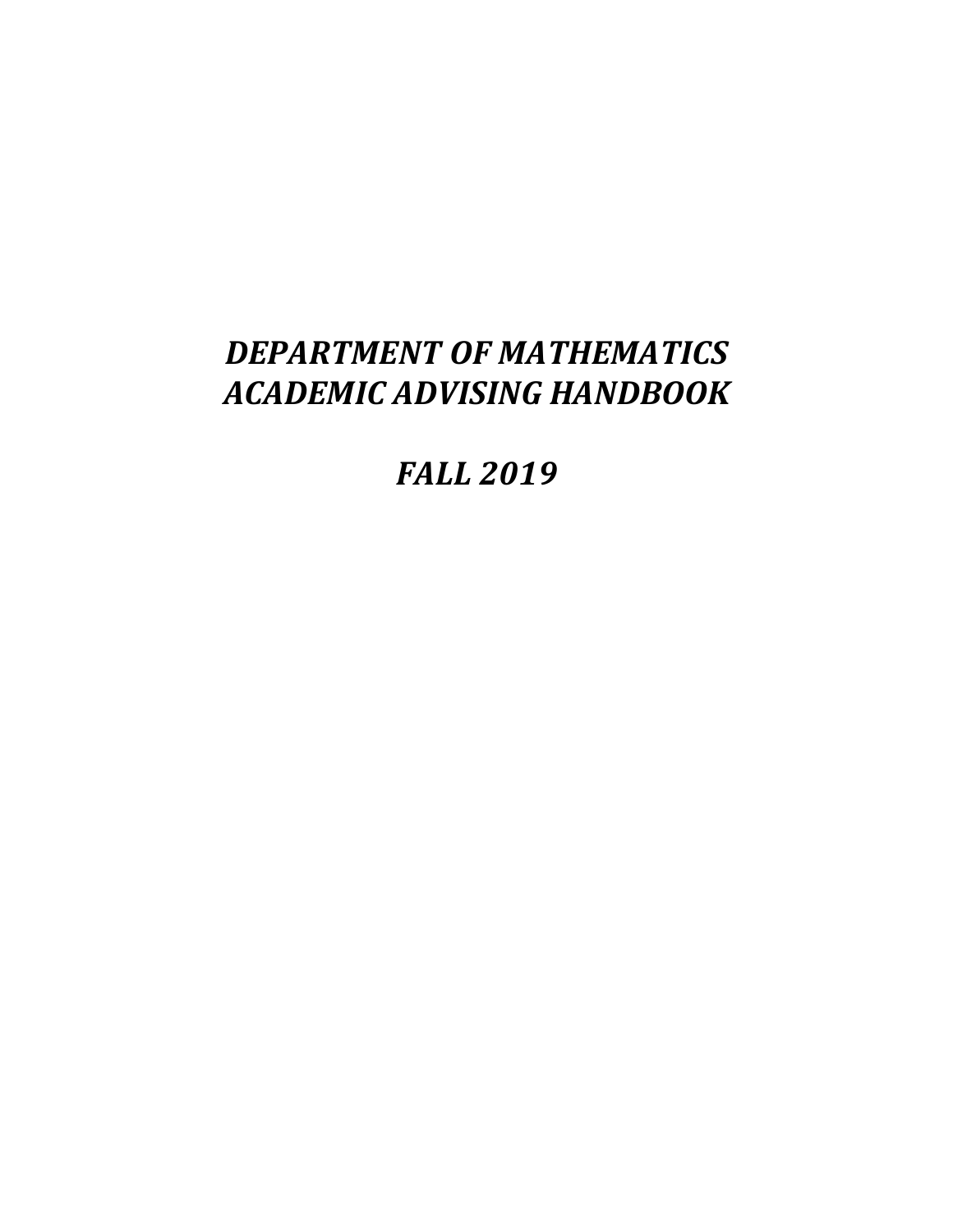# *DEPARTMENT OF MATHEMATICS ACADEMIC ADVISING HANDBOOK*

*FALL 2019*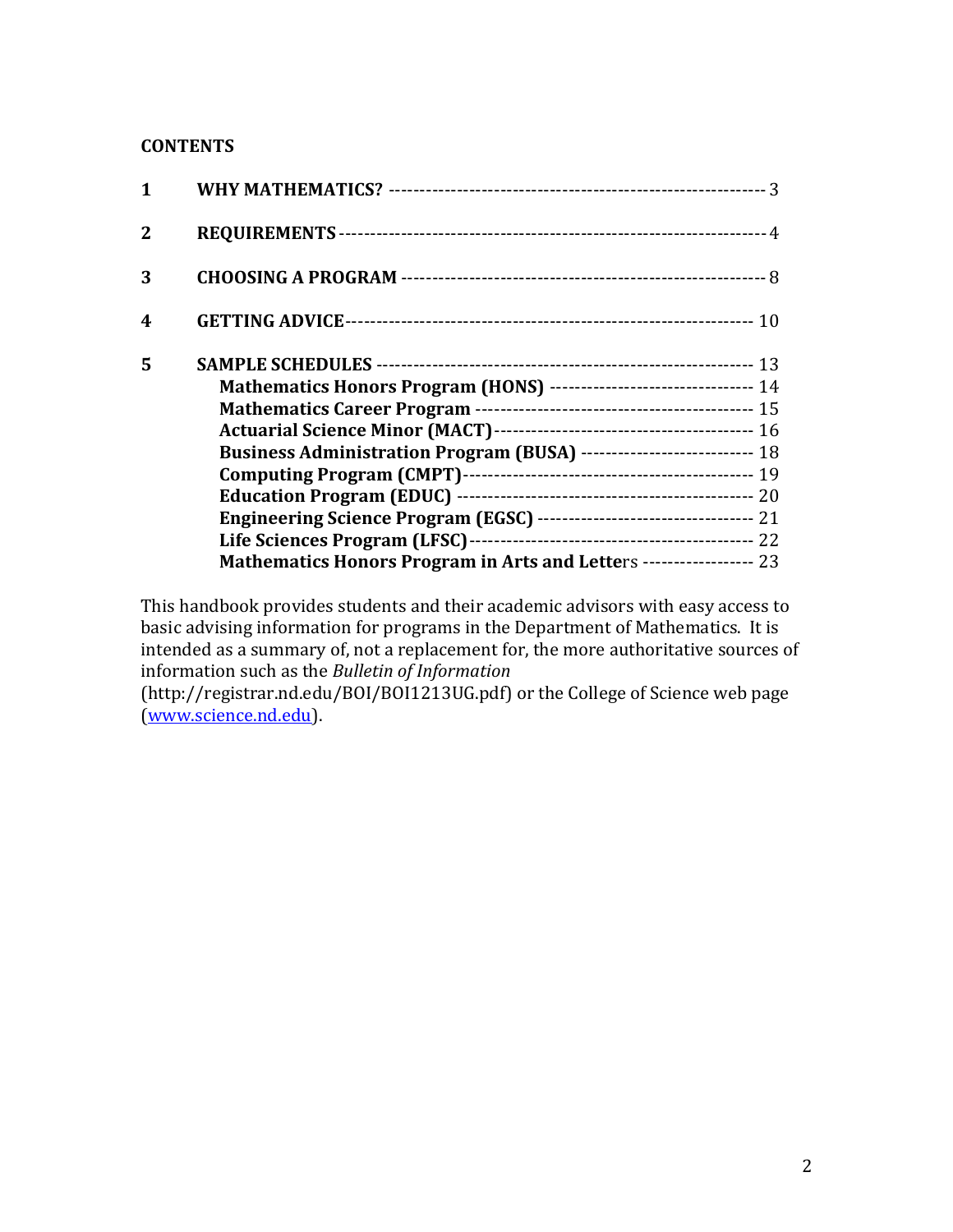#### **CONTENTS**

| $\mathbf{1}$     |                                                                        |  |
|------------------|------------------------------------------------------------------------|--|
| $\mathbf{2}$     |                                                                        |  |
| 3                |                                                                        |  |
| $\boldsymbol{4}$ |                                                                        |  |
| 5                |                                                                        |  |
|                  | Mathematics Honors Program (HONS) -------------------------------- 14  |  |
|                  |                                                                        |  |
|                  |                                                                        |  |
|                  | Business Administration Program (BUSA) ---------------------------- 18 |  |
|                  |                                                                        |  |
|                  |                                                                        |  |
|                  |                                                                        |  |
|                  |                                                                        |  |
|                  | Mathematics Honors Program in Arts and Letters ------------------ 23   |  |
|                  |                                                                        |  |

This handbook provides students and their academic advisors with easy access to basic advising information for programs in the Department of Mathematics. It is intended as a summary of, not a replacement for, the more authoritative sources of information such as the *Bulletin of Information*

(http://registrar.nd.edu/BOI/BOI1213UG.pdf) or the College of Science web page (www.science.nd.edu).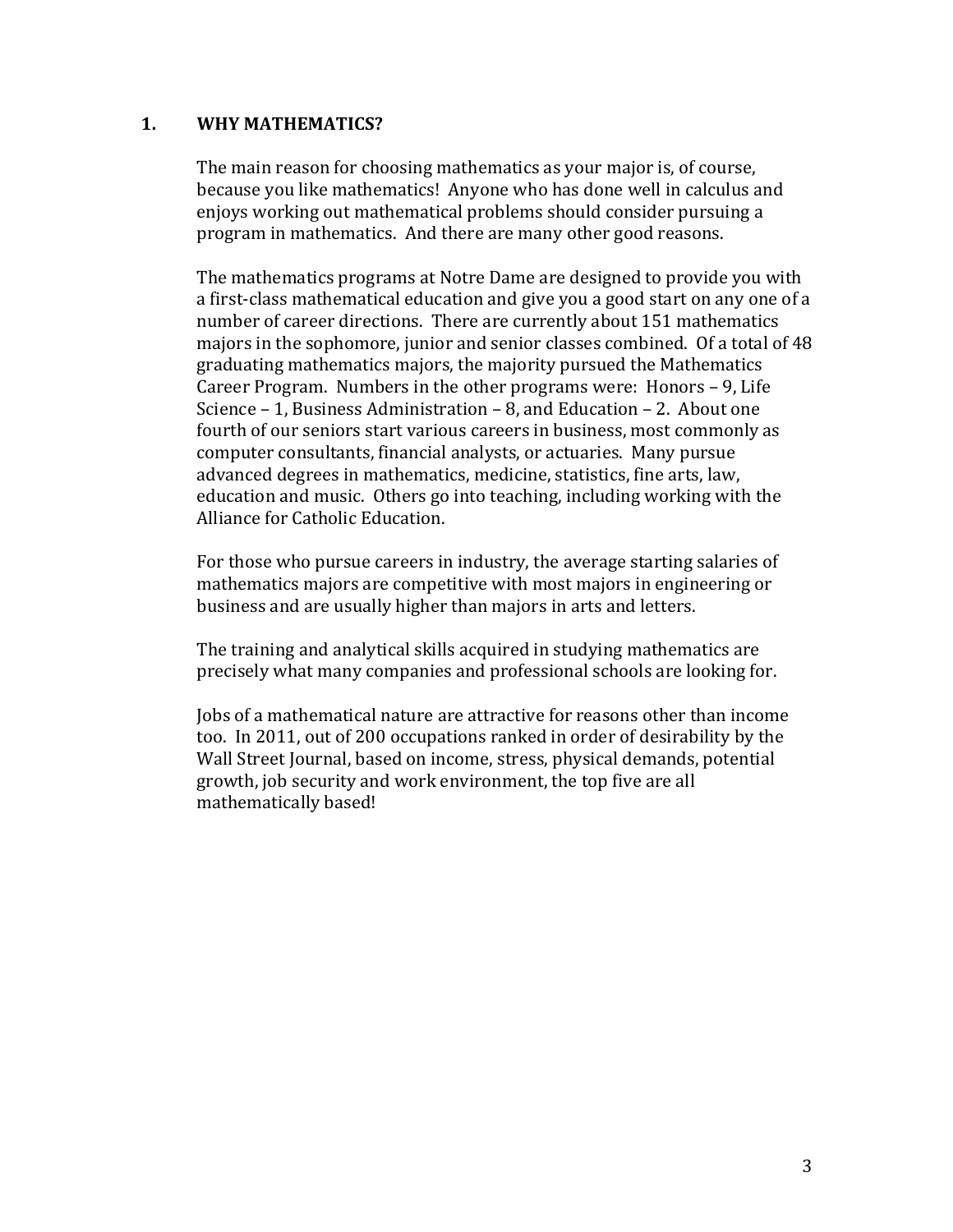#### **1. WHY MATHEMATICS?**

The main reason for choosing mathematics as your major is, of course, because you like mathematics! Anyone who has done well in calculus and enjoys working out mathematical problems should consider pursuing a program in mathematics. And there are many other good reasons.

The mathematics programs at Notre Dame are designed to provide you with a first-class mathematical education and give you a good start on any one of a number of career directions. There are currently about 151 mathematics majors in the sophomore, junior and senior classes combined. Of a total of 48 graduating mathematics majors, the majority pursued the Mathematics Career Program. Numbers in the other programs were: Honors  $-9$ , Life Science  $-1$ , Business Administration  $-8$ , and Education  $-2$ . About one fourth of our seniors start various careers in business, most commonly as computer consultants, financial analysts, or actuaries. Many pursue advanced degrees in mathematics, medicine, statistics, fine arts, law, education and music. Others go into teaching, including working with the Alliance for Catholic Education.

For those who pursue careers in industry, the average starting salaries of mathematics majors are competitive with most majors in engineering or business and are usually higher than majors in arts and letters.

The training and analytical skills acquired in studying mathematics are precisely what many companies and professional schools are looking for.

Jobs of a mathematical nature are attractive for reasons other than income too. In 2011, out of 200 occupations ranked in order of desirability by the Wall Street Journal, based on income, stress, physical demands, potential growth, job security and work environment, the top five are all mathematically based!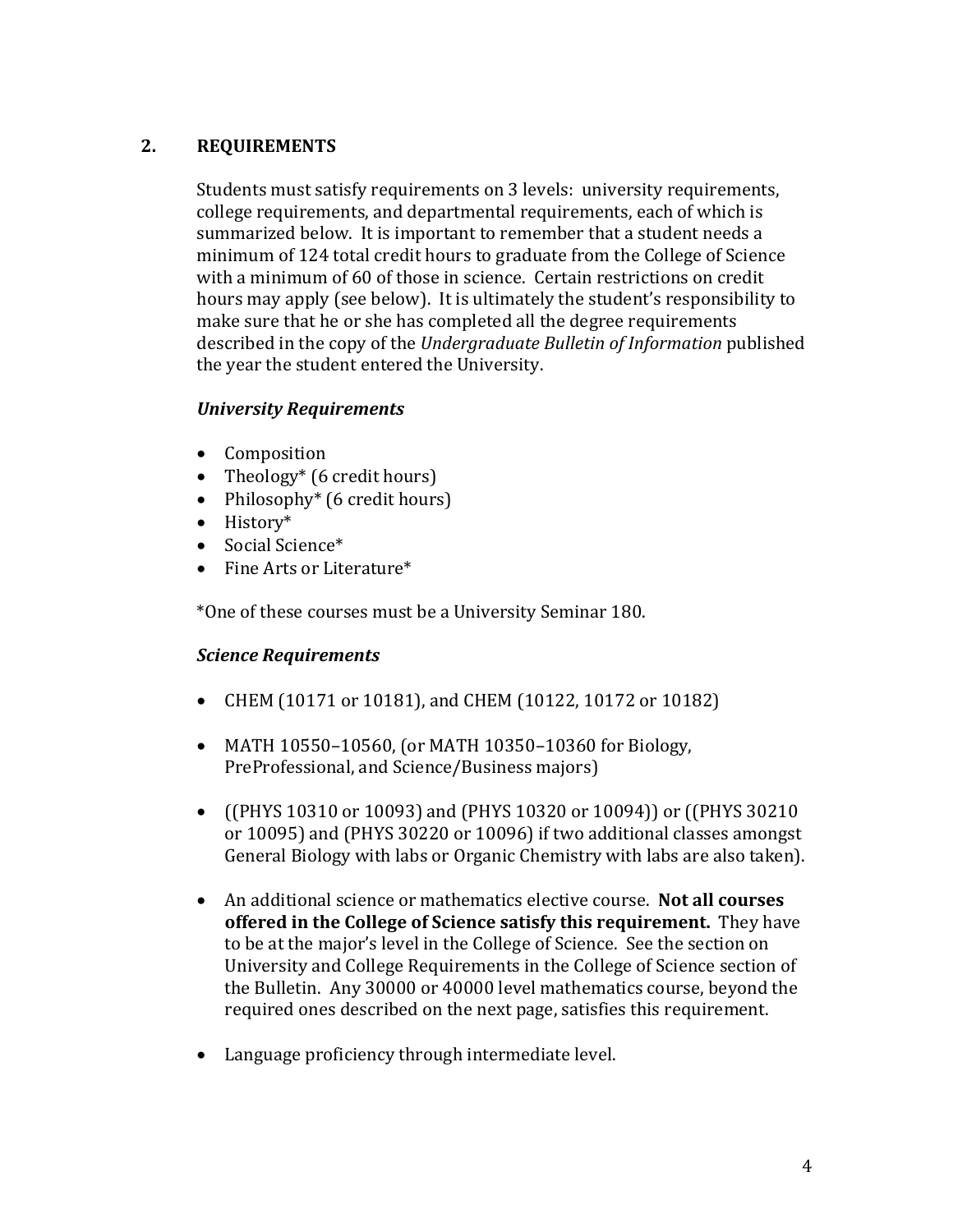# **2. REQUIREMENTS**

Students must satisfy requirements on 3 levels: university requirements, college requirements, and departmental requirements, each of which is summarized below. It is important to remember that a student needs a minimum of 124 total credit hours to graduate from the College of Science with a minimum of 60 of those in science. Certain restrictions on credit hours may apply (see below). It is ultimately the student's responsibility to make sure that he or she has completed all the degree requirements described in the copy of the *Undergraduate Bulletin of Information* published the year the student entered the University.

## *University Requirements*

- Composition
- Theology\*  $(6 \text{ credit hours})$
- Philosophy<sup>\*</sup> (6 credit hours)
- History\*
- Social Science\*
- $\bullet$  Fine Arts or Literature\*

\*One of these courses must be a University Seminar 180.

## *Science Requirements*

- CHEM (10171 or 10181), and CHEM (10122, 10172 or 10182)
- MATH  $10550 10560$ , (or MATH  $10350 10360$  for Biology, PreProfessional, and Science/Business majors)
- ((PHYS 10310 or 10093) and (PHYS 10320 or 10094)) or ((PHYS 30210) or 10095) and (PHYS 30220 or 10096) if two additional classes amongst General Biology with labs or Organic Chemistry with labs are also taken).
- An additional science or mathematics elective course. Not all courses **offered in the College of Science satisfy this requirement.** They have to be at the major's level in the College of Science. See the section on University and College Requirements in the College of Science section of the Bulletin. Any 30000 or 40000 level mathematics course, beyond the required ones described on the next page, satisfies this requirement.
- Language proficiency through intermediate level.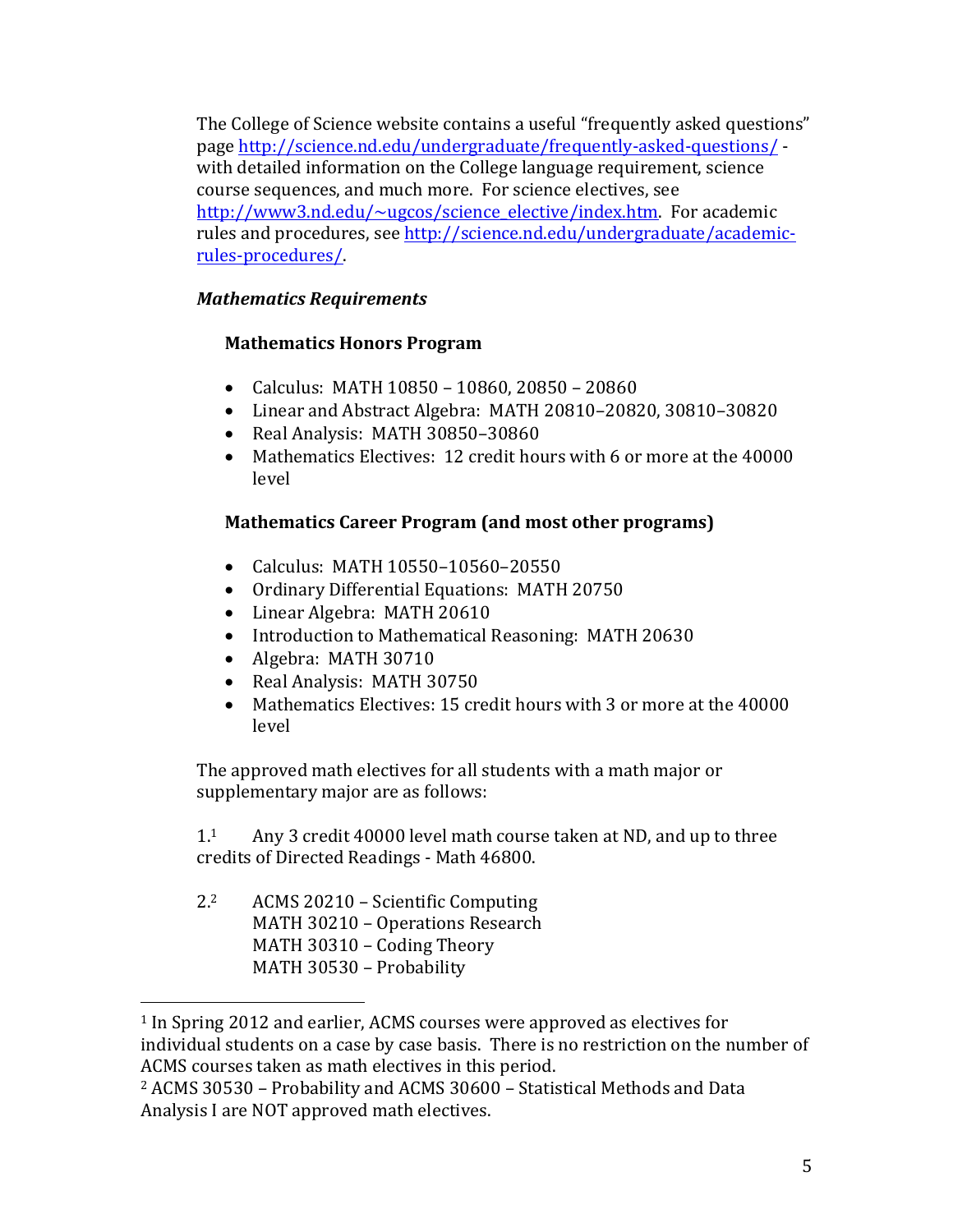The College of Science website contains a useful "frequently asked questions" page http://science.nd.edu/undergraduate/frequently-asked-questions/ with detailed information on the College language requirement, science course sequences, and much more. For science electives, see http://www3.nd.edu/ $\sim$ ugcos/science\_elective/index.htm. For academic rules and procedures, see http://science.nd.edu/undergraduate/academicrules-procedures/.

# *Mathematics Requirements*

# **Mathematics Honors Program**

- Calculus: MATH  $10850 10860$ ,  $20850 20860$
- Linear and Abstract Algebra: MATH 20810-20820, 30810-30820
- Real Analysis: MATH 30850-30860
- Mathematics Electives: 12 credit hours with 6 or more at the 40000 level

# **Mathematics Career Program (and most other programs)**

- Calculus: MATH 10550-10560-20550
- Ordinary Differential Equations: MATH 20750
- Linear Algebra: MATH 20610
- Introduction to Mathematical Reasoning: MATH 20630
- Algebra: MATH 30710
- Real Analysis: MATH 30750
- Mathematics Electives: 15 credit hours with 3 or more at the 40000 level

The approved math electives for all students with a math major or supplementary major are as follows:

 $1.1$  Any 3 credit 40000 level math course taken at ND, and up to three credits of Directed Readings - Math 46800.

2.<sup>2</sup> ACMS 20210 – Scientific Computing MATH 30210 - Operations Research MATH 30310 - Coding Theory MATH 30530 - Probability

<sup>&</sup>lt;sup>1</sup> In Spring 2012 and earlier, ACMS courses were approved as electives for individual students on a case by case basis. There is no restriction on the number of ACMS courses taken as math electives in this period.

 $2$  ACMS 30530 – Probability and ACMS 30600 – Statistical Methods and Data Analysis I are NOT approved math electives.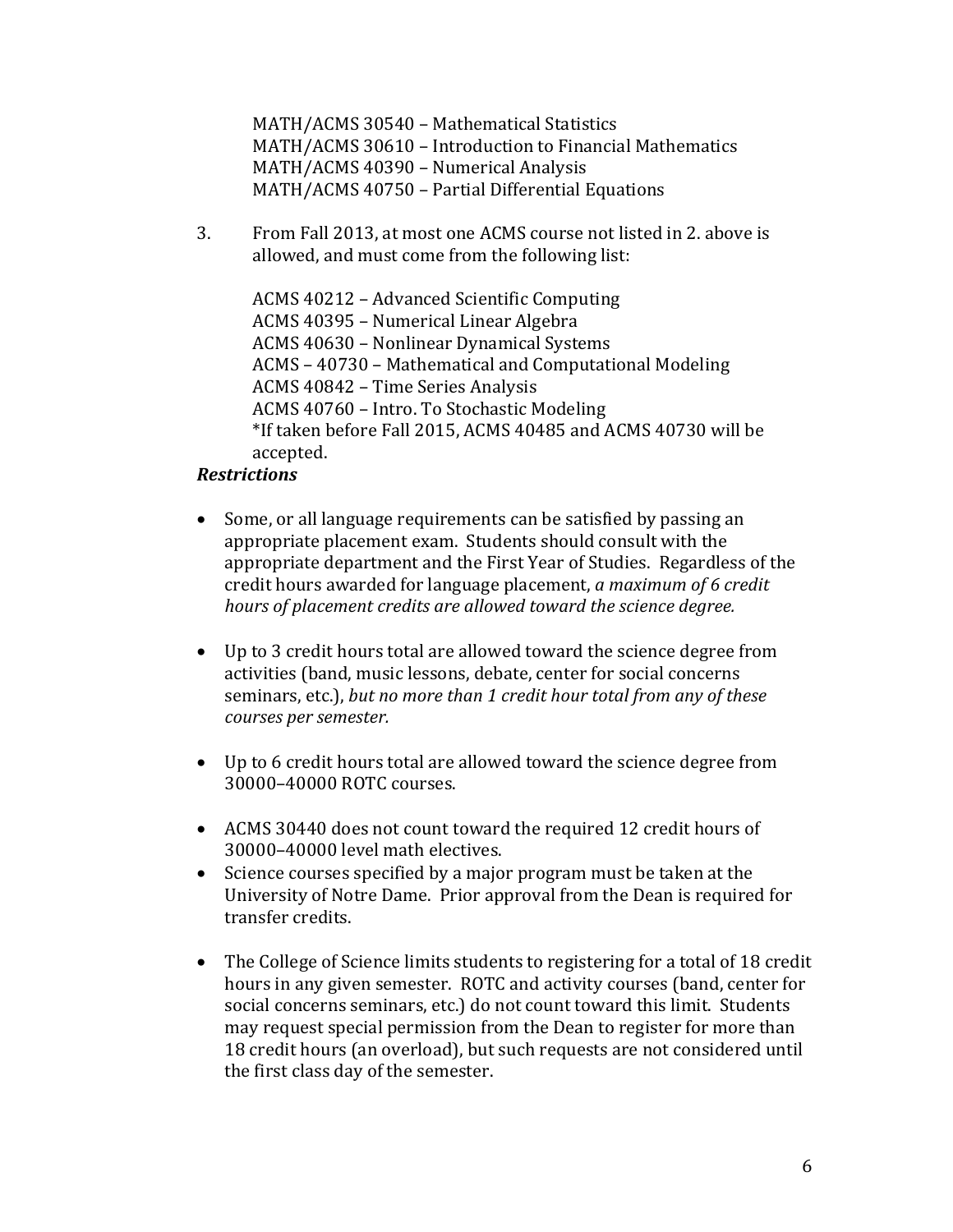MATH/ACMS 30540 - Mathematical Statistics MATH/ACMS 30610 - Introduction to Financial Mathematics MATH/ACMS 40390 - Numerical Analysis MATH/ACMS 40750 - Partial Differential Equations

3. From Fall 2013, at most one ACMS course not listed in 2. above is allowed, and must come from the following list:

ACMS 40212 - Advanced Scientific Computing ACMS 40395 - Numerical Linear Algebra ACMS 40630 - Nonlinear Dynamical Systems ACMS - 40730 - Mathematical and Computational Modeling ACMS 40842 - Time Series Analysis ACMS 40760 - Intro. To Stochastic Modeling \*If taken before Fall 2015, ACMS 40485 and ACMS 40730 will be accepted.

#### *Restrictions*

- Some, or all language requirements can be satisfied by passing an appropriate placement exam. Students should consult with the appropriate department and the First Year of Studies. Regardless of the credit hours awarded for language placement, *a maximum of 6 credit* hours of placement credits are allowed toward the science degree.
- Up to 3 credit hours total are allowed toward the science degree from activities (band, music lessons, debate, center for social concerns seminars, etc.), but no more than 1 credit hour total from any of these *courses per semester.*
- Up to 6 credit hours total are allowed toward the science degree from 30000–40000 ROTC courses.
- ACMS 30440 does not count toward the required 12 credit hours of 30000–40000 level math electives.
- Science courses specified by a major program must be taken at the University of Notre Dame. Prior approval from the Dean is required for transfer credits.
- The College of Science limits students to registering for a total of 18 credit hours in any given semester. ROTC and activity courses (band, center for social concerns seminars, etc.) do not count toward this limit. Students may request special permission from the Dean to register for more than 18 credit hours (an overload), but such requests are not considered until the first class day of the semester.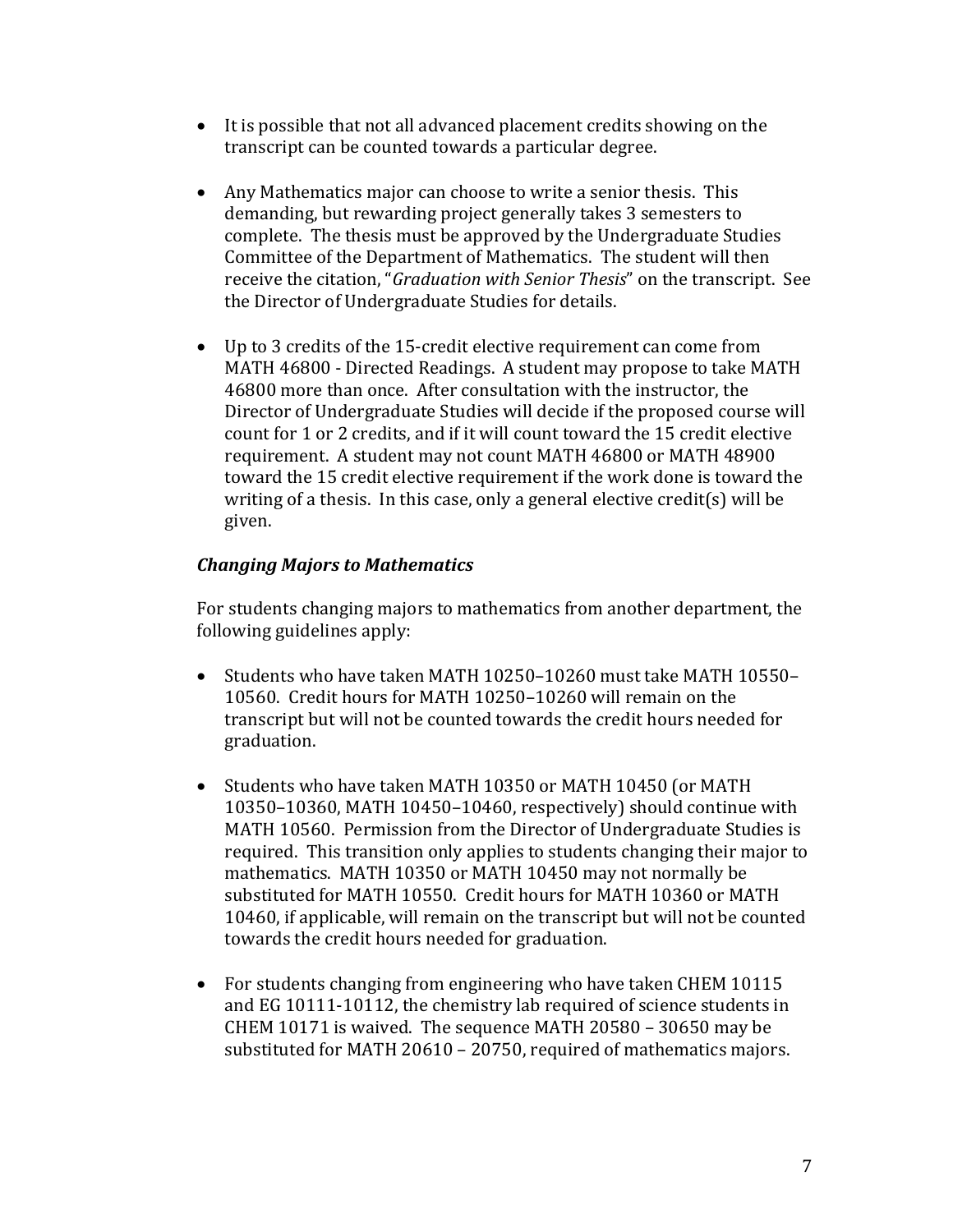- It is possible that not all advanced placement credits showing on the transcript can be counted towards a particular degree.
- Any Mathematics major can choose to write a senior thesis. This demanding, but rewarding project generally takes 3 semesters to complete. The thesis must be approved by the Undergraduate Studies Committee of the Department of Mathematics. The student will then receive the citation, "*Graduation with Senior Thesis*" on the transcript. See the Director of Undergraduate Studies for details.
- Up to 3 credits of the 15-credit elective requirement can come from MATH 46800 - Directed Readings. A student may propose to take MATH 46800 more than once. After consultation with the instructor, the Director of Undergraduate Studies will decide if the proposed course will count for 1 or 2 credits, and if it will count toward the 15 credit elective requirement. A student may not count MATH 46800 or MATH 48900 toward the 15 credit elective requirement if the work done is toward the writing of a thesis. In this case, only a general elective credit(s) will be given.

## *Changing Majors to Mathematics*

For students changing majors to mathematics from another department, the following guidelines apply:

- Students who have taken MATH  $10250-10260$  must take MATH  $10550-$ 10560. Credit hours for MATH 10250-10260 will remain on the transcript but will not be counted towards the credit hours needed for graduation.
- Students who have taken MATH 10350 or MATH 10450 (or MATH  $10350-10360$ , MATH  $10450-10460$ , respectively) should continue with MATH 10560. Permission from the Director of Undergraduate Studies is required. This transition only applies to students changing their major to mathematics. MATH 10350 or MATH 10450 may not normally be substituted for MATH 10550. Credit hours for MATH 10360 or MATH 10460, if applicable, will remain on the transcript but will not be counted towards the credit hours needed for graduation.
- For students changing from engineering who have taken CHEM 10115 and EG 10111-10112, the chemistry lab required of science students in CHEM 10171 is waived. The sequence MATH 20580 - 30650 may be substituted for MATH  $20610 - 20750$ , required of mathematics majors.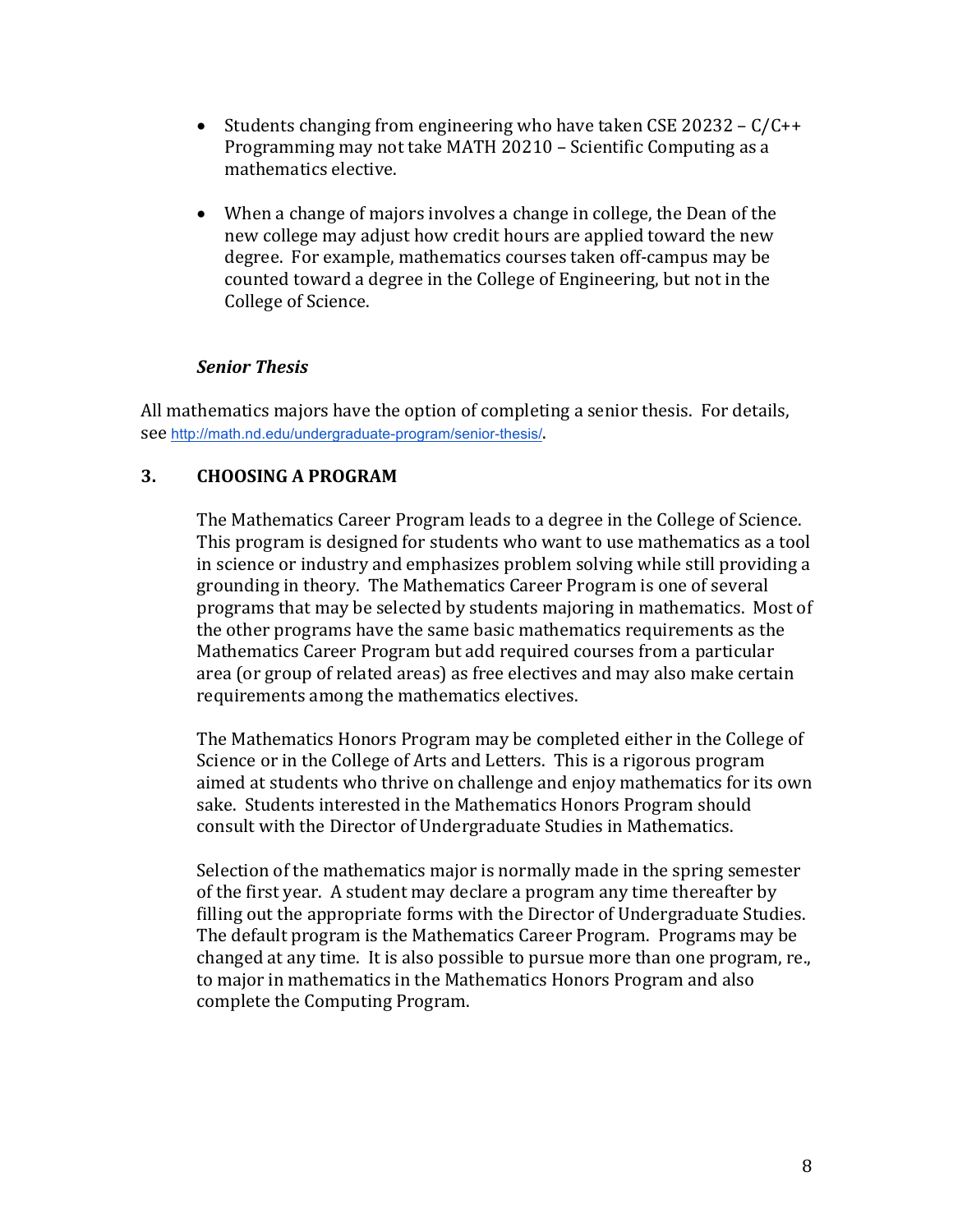- Students changing from engineering who have taken CSE 20232  $C/C++$ Programming may not take MATH 20210 - Scientific Computing as a mathematics elective.
- When a change of majors involves a change in college, the Dean of the new college may adjust how credit hours are applied toward the new degree. For example, mathematics courses taken off-campus may be counted toward a degree in the College of Engineering, but not in the College of Science.

#### *Senior Thesis*

All mathematics majors have the option of completing a senior thesis. For details, see http://math.nd.edu/undergraduate-program/senior-thesis/.

# **3. CHOOSING A PROGRAM**

The Mathematics Career Program leads to a degree in the College of Science. This program is designed for students who want to use mathematics as a tool in science or industry and emphasizes problem solving while still providing a grounding in theory. The Mathematics Career Program is one of several programs that may be selected by students majoring in mathematics. Most of the other programs have the same basic mathematics requirements as the Mathematics Career Program but add required courses from a particular area (or group of related areas) as free electives and may also make certain requirements among the mathematics electives.

The Mathematics Honors Program may be completed either in the College of Science or in the College of Arts and Letters. This is a rigorous program aimed at students who thrive on challenge and enjoy mathematics for its own sake. Students interested in the Mathematics Honors Program should consult with the Director of Undergraduate Studies in Mathematics.

Selection of the mathematics major is normally made in the spring semester of the first year. A student may declare a program any time thereafter by filling out the appropriate forms with the Director of Undergraduate Studies. The default program is the Mathematics Career Program. Programs may be changed at any time. It is also possible to pursue more than one program, re., to major in mathematics in the Mathematics Honors Program and also complete the Computing Program.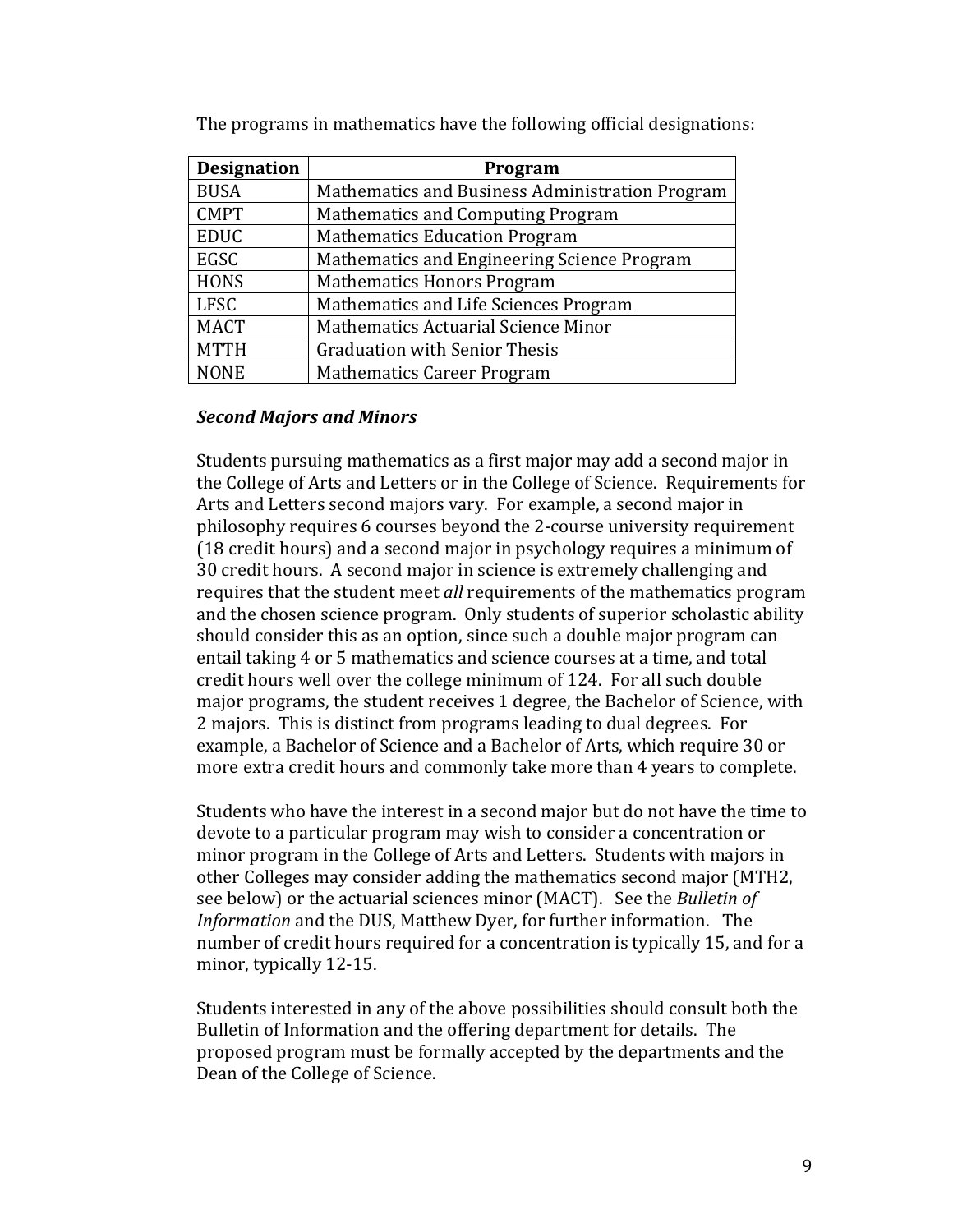| <b>Designation</b> | Program                                         |
|--------------------|-------------------------------------------------|
| <b>BUSA</b>        | Mathematics and Business Administration Program |
| <b>CMPT</b>        | <b>Mathematics and Computing Program</b>        |
| <b>EDUC</b>        | <b>Mathematics Education Program</b>            |
| EGSC               | Mathematics and Engineering Science Program     |
| <b>HONS</b>        | <b>Mathematics Honors Program</b>               |
| <b>LFSC</b>        | Mathematics and Life Sciences Program           |
| <b>MACT</b>        | Mathematics Actuarial Science Minor             |
| <b>MTTH</b>        | <b>Graduation with Senior Thesis</b>            |
| <b>NONE</b>        | <b>Mathematics Career Program</b>               |

The programs in mathematics have the following official designations:

#### *Second Majors and Minors*

Students pursuing mathematics as a first major may add a second major in the College of Arts and Letters or in the College of Science. Requirements for Arts and Letters second majors vary. For example, a second major in philosophy requires 6 courses beyond the 2-course university requirement  $(18 \text{ credit hours})$  and a second major in psychology requires a minimum of 30 credit hours. A second major in science is extremely challenging and requires that the student meet *all* requirements of the mathematics program and the chosen science program. Only students of superior scholastic ability should consider this as an option, since such a double major program can entail taking 4 or 5 mathematics and science courses at a time, and total credit hours well over the college minimum of 124. For all such double major programs, the student receives 1 degree, the Bachelor of Science, with 2 majors. This is distinct from programs leading to dual degrees. For example, a Bachelor of Science and a Bachelor of Arts, which require 30 or more extra credit hours and commonly take more than 4 years to complete.

Students who have the interest in a second major but do not have the time to devote to a particular program may wish to consider a concentration or minor program in the College of Arts and Letters. Students with majors in other Colleges may consider adding the mathematics second major (MTH2, see below) or the actuarial sciences minor (MACT). See the *Bulletin of Information* and the DUS, Matthew Dyer, for further information. The number of credit hours required for a concentration is typically 15, and for a minor, typically 12-15.

Students interested in any of the above possibilities should consult both the Bulletin of Information and the offering department for details. The proposed program must be formally accepted by the departments and the Dean of the College of Science.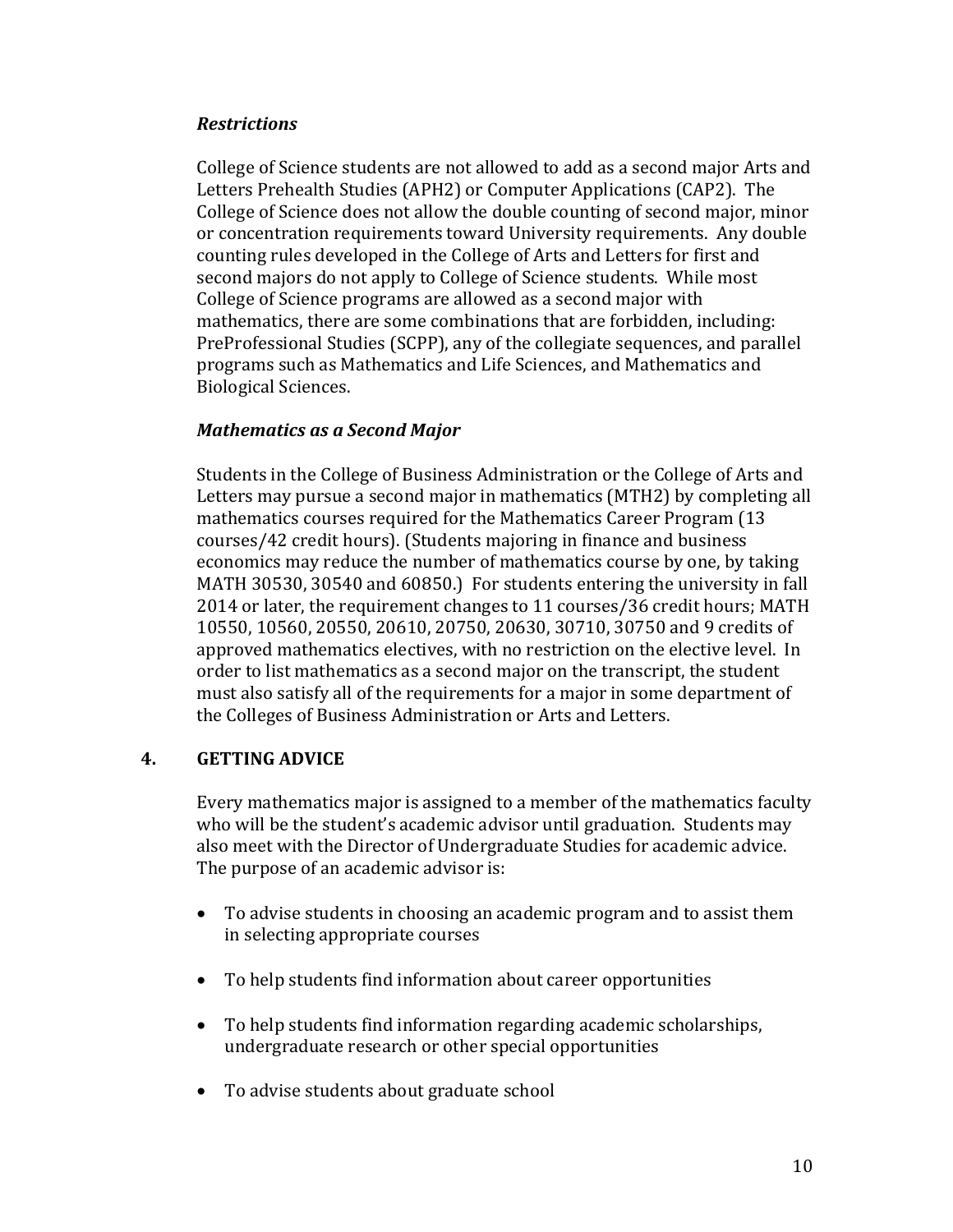## *Restrictions*

College of Science students are not allowed to add as a second major Arts and Letters Prehealth Studies (APH2) or Computer Applications (CAP2). The College of Science does not allow the double counting of second major, minor or concentration requirements toward University requirements. Any double counting rules developed in the College of Arts and Letters for first and second majors do not apply to College of Science students. While most College of Science programs are allowed as a second major with mathematics, there are some combinations that are forbidden, including: PreProfessional Studies (SCPP), any of the collegiate sequences, and parallel programs such as Mathematics and Life Sciences, and Mathematics and Biological Sciences.

## *Mathematics as a Second Major*

Students in the College of Business Administration or the College of Arts and Letters may pursue a second major in mathematics (MTH2) by completing all mathematics courses required for the Mathematics Career Program (13) courses/42 credit hours). (Students majoring in finance and business economics may reduce the number of mathematics course by one, by taking MATH 30530, 30540 and 60850.) For students entering the university in fall 2014 or later, the requirement changes to 11 courses/36 credit hours; MATH 10550, 10560, 20550, 20610, 20750, 20630, 30710, 30750 and 9 credits of approved mathematics electives, with no restriction on the elective level. In order to list mathematics as a second major on the transcript, the student must also satisfy all of the requirements for a major in some department of the Colleges of Business Administration or Arts and Letters.

## **4. GETTING ADVICE**

Every mathematics major is assigned to a member of the mathematics faculty who will be the student's academic advisor until graduation. Students may also meet with the Director of Undergraduate Studies for academic advice. The purpose of an academic advisor is:

- To advise students in choosing an academic program and to assist them in selecting appropriate courses
- To help students find information about career opportunities
- To help students find information regarding academic scholarships, undergraduate research or other special opportunities
- To advise students about graduate school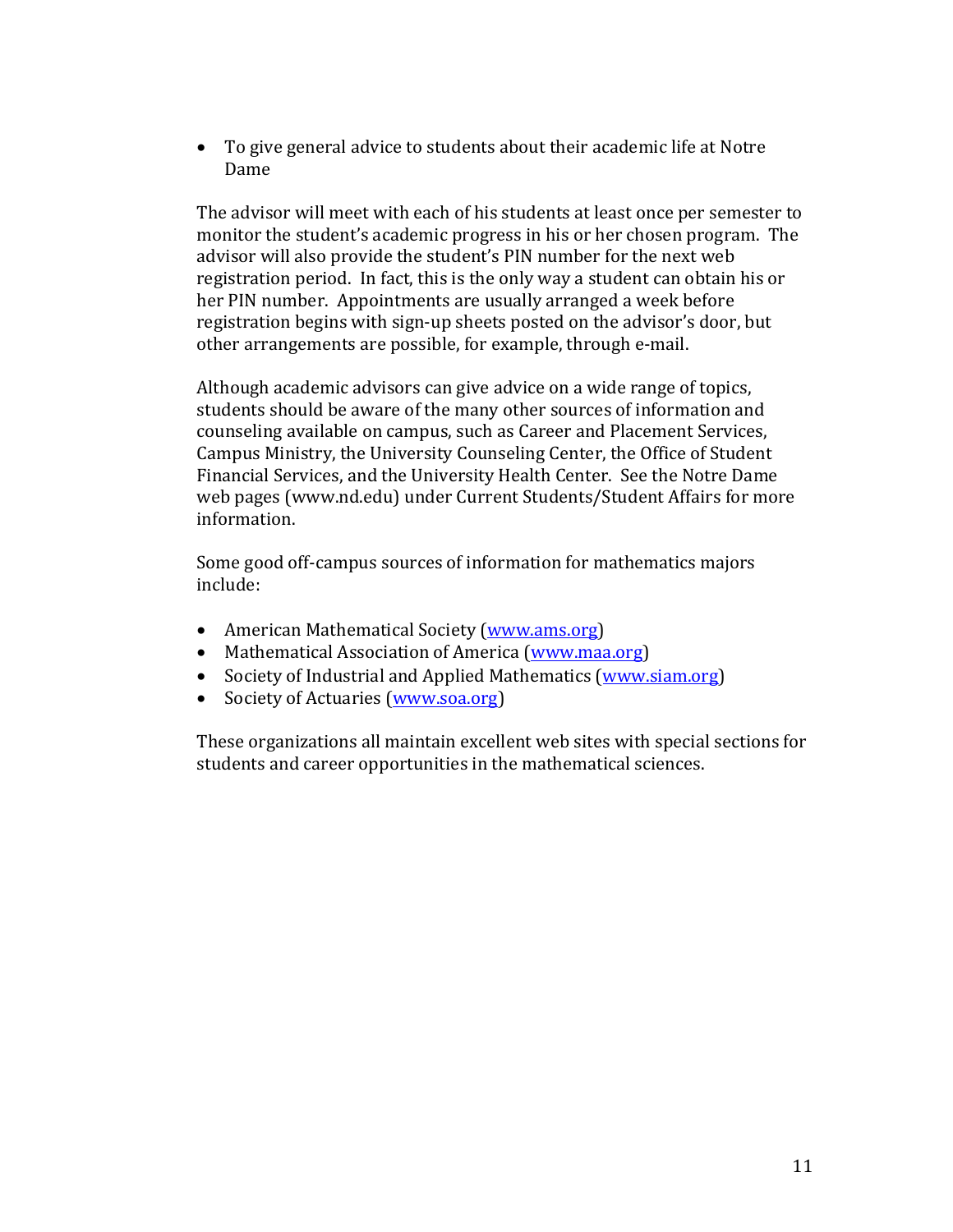• To give general advice to students about their academic life at Notre Dame

The advisor will meet with each of his students at least once per semester to monitor the student's academic progress in his or her chosen program. The advisor will also provide the student's PIN number for the next web registration period. In fact, this is the only way a student can obtain his or her PIN number. Appointments are usually arranged a week before registration begins with sign-up sheets posted on the advisor's door, but other arrangements are possible, for example, through e-mail.

Although academic advisors can give advice on a wide range of topics, students should be aware of the many other sources of information and counseling available on campus, such as Career and Placement Services, Campus Ministry, the University Counseling Center, the Office of Student Financial Services, and the University Health Center. See the Notre Dame web pages (www.nd.edu) under Current Students/Student Affairs for more information.

Some good off-campus sources of information for mathematics majors include:

- American Mathematical Society (www.ams.org)
- Mathematical Association of America (www.maa.org)
- Society of Industrial and Applied Mathematics (www.siam.org)
- Society of Actuaries (www.soa.org)

These organizations all maintain excellent web sites with special sections for students and career opportunities in the mathematical sciences.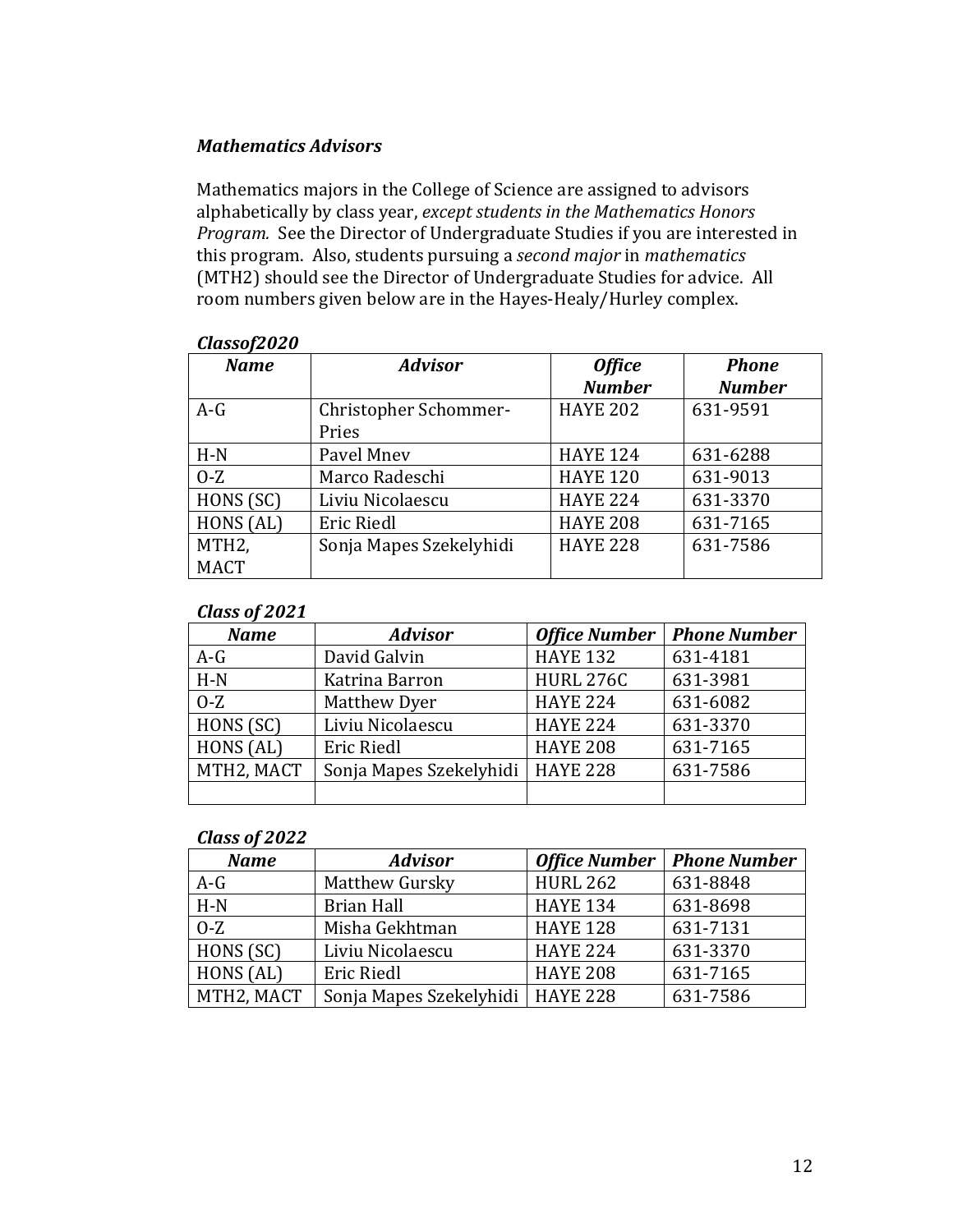## *Mathematics Advisors*

Mathematics majors in the College of Science are assigned to advisors alphabetically by class year, except students in the Mathematics Honors *Program.* See the Director of Undergraduate Studies if you are interested in this program. Also, students pursuing a *second major* in *mathematics* (MTH2) should see the Director of Undergraduate Studies for advice. All room numbers given below are in the Hayes-Healy/Hurley complex.

| <b>Name</b>        | <b>Advisor</b>          | <b>Office</b>   | <b>Phone</b>  |
|--------------------|-------------------------|-----------------|---------------|
|                    |                         | <b>Number</b>   | <b>Number</b> |
| $A-G$              | Christopher Schommer-   | <b>HAYE 202</b> | 631-9591      |
|                    | Pries                   |                 |               |
| $H-N$              | Pavel Mnev              | <b>HAYE 124</b> | 631-6288      |
| $O-Z$              | Marco Radeschi          | <b>HAYE 120</b> | 631-9013      |
| HONS (SC)          | Liviu Nicolaescu        | <b>HAYE 224</b> | 631-3370      |
| HONS (AL)          | <b>Eric Riedl</b>       | <b>HAYE 208</b> | 631-7165      |
| MTH <sub>2</sub> , | Sonja Mapes Szekelyhidi | <b>HAYE 228</b> | 631-7586      |
| <b>MACT</b>        |                         |                 |               |

#### *Classof2020*

## *Class of 2021*

| <b>Name</b> | <b>Advisor</b>          | <b>Office Number</b> | <b>Phone Number</b> |
|-------------|-------------------------|----------------------|---------------------|
| $A-G$       | David Galvin            | <b>HAYE 132</b>      | 631-4181            |
| $H-N$       | Katrina Barron          | <b>HURL 276C</b>     | 631-3981            |
| $O-Z$       | Matthew Dyer            | <b>HAYE 224</b>      | 631-6082            |
| HONS (SC)   | Liviu Nicolaescu        | <b>HAYE 224</b>      | 631-3370            |
| HONS (AL)   | <b>Eric Riedl</b>       | <b>HAYE 208</b>      | 631-7165            |
| MTH2, MACT  | Sonja Mapes Szekelyhidi | <b>HAYE 228</b>      | 631-7586            |
|             |                         |                      |                     |

#### *Class of 2022*

| <b>Name</b> | <b>Advisor</b>                     | <b>Office Number</b> | <b>Phone Number</b> |
|-------------|------------------------------------|----------------------|---------------------|
| $A-G$       | Matthew Gursky                     | <b>HURL 262</b>      | 631-8848            |
| $H-N$       | <b>Brian Hall</b>                  | <b>HAYE 134</b>      | 631-8698            |
| $0-Z$       | Misha Gekhtman                     | <b>HAYE 128</b>      | 631-7131            |
| HONS (SC)   | Liviu Nicolaescu                   | <b>HAYE 224</b>      | 631-3370            |
| HONS (AL)   | <b>Eric Riedl</b>                  | <b>HAYE 208</b>      | 631-7165            |
| MTH2, MACT  | Sonja Mapes Szekelyhidi   HAYE 228 |                      | 631-7586            |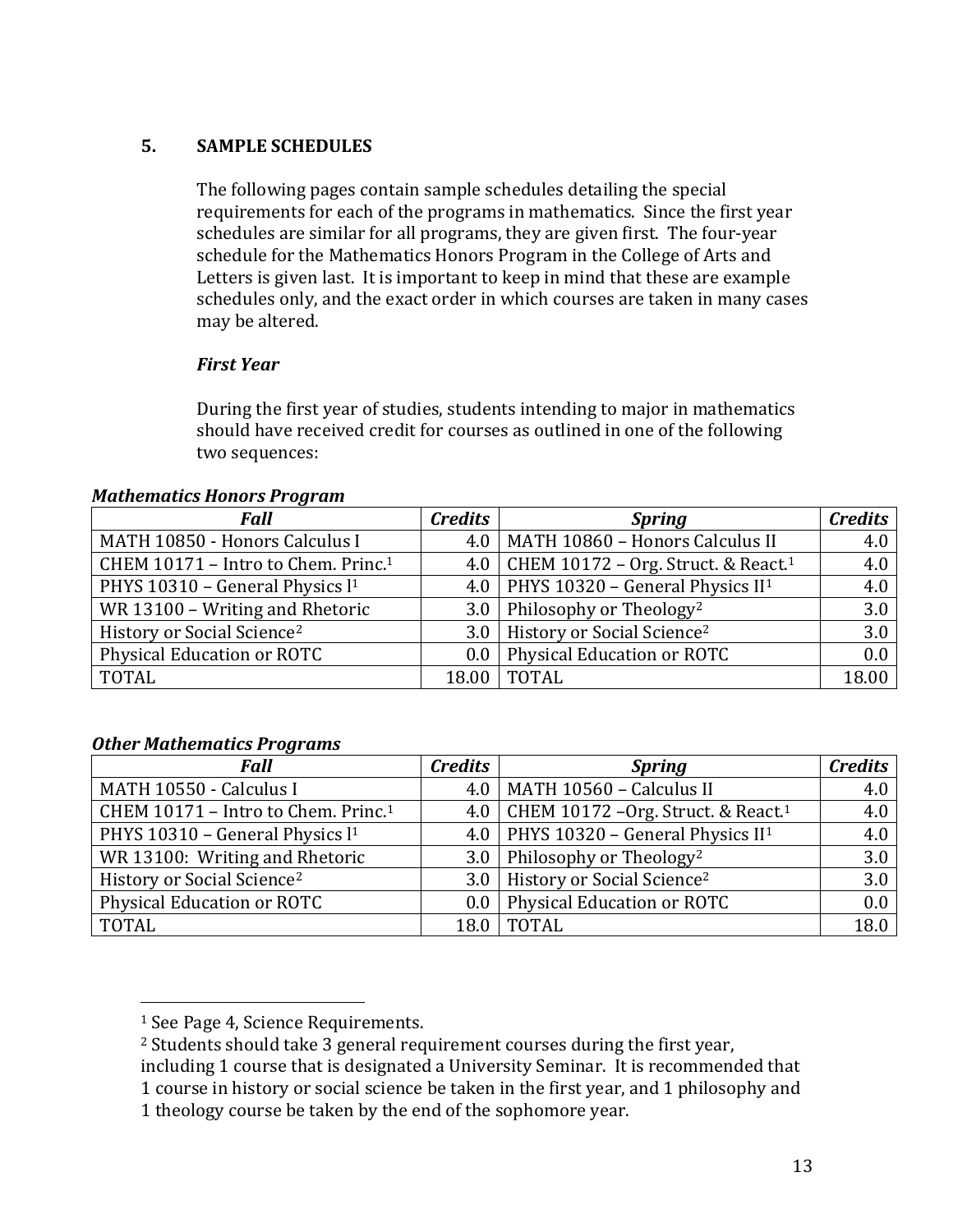# **5. SAMPLE SCHEDULES**

The following pages contain sample schedules detailing the special requirements for each of the programs in mathematics. Since the first year schedules are similar for all programs, they are given first. The four-year schedule for the Mathematics Honors Program in the College of Arts and Letters is given last. It is important to keep in mind that these are example schedules only, and the exact order in which courses are taken in many cases may be altered.

## *First Year*

During the first year of studies, students intending to major in mathematics should have received credit for courses as outlined in one of the following two sequences:

#### *Mathematics Honors Program*

| Fall                                            | <b>Credits</b> | <b>Spring</b>                                         | <b>Credits</b> |
|-------------------------------------------------|----------------|-------------------------------------------------------|----------------|
| MATH 10850 - Honors Calculus I                  |                | 4.0   MATH 10860 - Honors Calculus II                 | 4.0            |
| CHEM 10171 - Intro to Chem. Princ. <sup>1</sup> |                | 4.0   CHEM 10172 – Org. Struct. & React. <sup>1</sup> | 4.0            |
| PHYS 10310 - General Physics l <sup>1</sup>     |                | 4.0   PHYS 10320 – General Physics $II^1$             | 4.0            |
| WR 13100 - Writing and Rhetoric                 |                | 3.0   Philosophy or Theology <sup>2</sup>             | 3.0            |
| History or Social Science <sup>2</sup>          |                | 3.0   History or Social Science <sup>2</sup>          | 3.0            |
| Physical Education or ROTC                      |                | 0.0   Physical Education or ROTC                      | 0.0            |
| <b>TOTAL</b>                                    | 18.00          | <b>TOTAL</b>                                          | 18.00          |

#### *Other Mathematics Programs*

| <b>Fall</b>                                     | <b>Credits</b> | <b>Spring</b>                                         | <b>Credits</b> |
|-------------------------------------------------|----------------|-------------------------------------------------------|----------------|
| MATH 10550 - Calculus I                         |                | 4.0   MATH 10560 - Calculus II                        | 4.0            |
| CHEM 10171 - Intro to Chem. Princ. <sup>1</sup> |                | 4.0   CHEM 10172 - Org. Struct. & React. <sup>1</sup> | 4.0            |
| PHYS 10310 - General Physics l <sup>1</sup>     |                | 4.0   PHYS 10320 - General Physics $II^1$             | 4.0            |
| WR 13100: Writing and Rhetoric                  |                | 3.0   Philosophy or Theology <sup>2</sup>             | 3.0            |
| History or Social Science <sup>2</sup>          |                | 3.0   History or Social Science <sup>2</sup>          | 3.0            |
| <b>Physical Education or ROTC</b>               |                | 0.0   Physical Education or ROTC                      | 0.0            |
| TOTAL                                           |                | 18.0   TOTAL                                          | 18.0           |

<sup>&</sup>lt;sup>1</sup> See Page 4, Science Requirements.

 $2$  Students should take 3 general requirement courses during the first year,

including 1 course that is designated a University Seminar. It is recommended that

<sup>1</sup> course in history or social science be taken in the first year, and 1 philosophy and

<sup>1</sup> theology course be taken by the end of the sophomore year.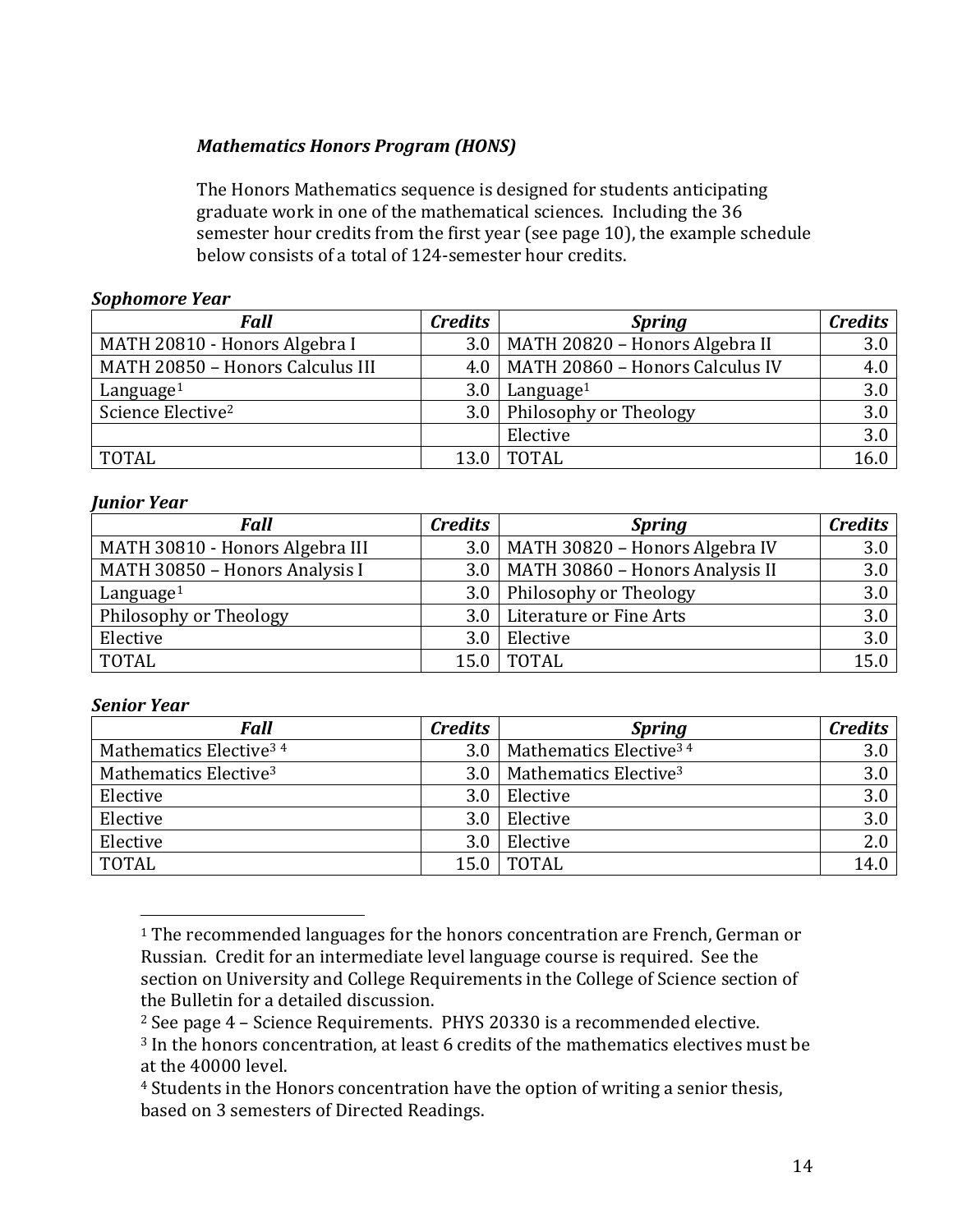# *Mathematics Honors Program (HONS)*

The Honors Mathematics sequence is designed for students anticipating graduate work in one of the mathematical sciences. Including the 36 semester hour credits from the first year (see page 10), the example schedule below consists of a total of 124-semester hour credits.

#### *Sophomore Year*

| <b>Fall</b>                      | <b>Credits</b>   | <b>Spring</b>                         | <b>Credits</b> |
|----------------------------------|------------------|---------------------------------------|----------------|
| MATH 20810 - Honors Algebra I    | 3.0 <sub>1</sub> | MATH 20820 - Honors Algebra II        | 3.0            |
| MATH 20850 - Honors Calculus III |                  | 4.0   MATH 20860 - Honors Calculus IV | 4.0            |
| Language <sup>1</sup>            | 3.0              | Language <sup>1</sup>                 | 3.0            |
| Science Elective <sup>2</sup>    | 3.0 <sub>1</sub> | Philosophy or Theology                | 3.0            |
|                                  |                  | Elective                              | 3.0            |
| TOTAL                            | 13.0             | <b>TOTAL</b>                          | 16.0           |

#### *Junior Year*

| <b>Fall</b>                     | <b>Credits</b>   | <b>Spring</b>                         | <b>Credits</b> |
|---------------------------------|------------------|---------------------------------------|----------------|
| MATH 30810 - Honors Algebra III |                  | 3.0   MATH 30820 - Honors Algebra IV  | 3.0            |
| MATH 30850 - Honors Analysis I  |                  | 3.0   MATH 30860 - Honors Analysis II | 3.0            |
| Language <sup>1</sup>           |                  | 3.0 Philosophy or Theology            | 3.0            |
| Philosophy or Theology          |                  | 3.0   Literature or Fine Arts         | 3.0            |
| Elective                        | 3.0 <sub>1</sub> | Elective                              | 3.0            |
| <b>TOTAL</b>                    | 15.0             | <b>TOTAL</b>                          | 15.0           |

#### *Senior Year*

| <b>Fall</b>                        | <b>Credits</b> | <b>Spring</b>                      | <b>Credits</b> |
|------------------------------------|----------------|------------------------------------|----------------|
| Mathematics Elective <sup>34</sup> | 3.0            | Mathematics Elective <sup>34</sup> | 3.0            |
| Mathematics Elective <sup>3</sup>  | 3.0            | Mathematics Elective <sup>3</sup>  | 3.0            |
| Elective                           | 3.0            | Elective                           | 3.0            |
| Elective                           | 3.0            | Elective                           | 3.0            |
| Elective                           | 3.0            | Elective                           | 2.0            |
| <b>TOTAL</b>                       | 15.0           | <b>TOTAL</b>                       | 14.0           |

<sup>&</sup>lt;sup>1</sup> The recommended languages for the honors concentration are French, German or Russian. Credit for an intermediate level language course is required. See the section on University and College Requirements in the College of Science section of the Bulletin for a detailed discussion.

 $2$  See page  $4$  – Science Requirements. PHYS 20330 is a recommended elective.

 $3$  In the honors concentration, at least 6 credits of the mathematics electives must be at the 40000 level.

<sup>&</sup>lt;sup>4</sup> Students in the Honors concentration have the option of writing a senior thesis, based on 3 semesters of Directed Readings.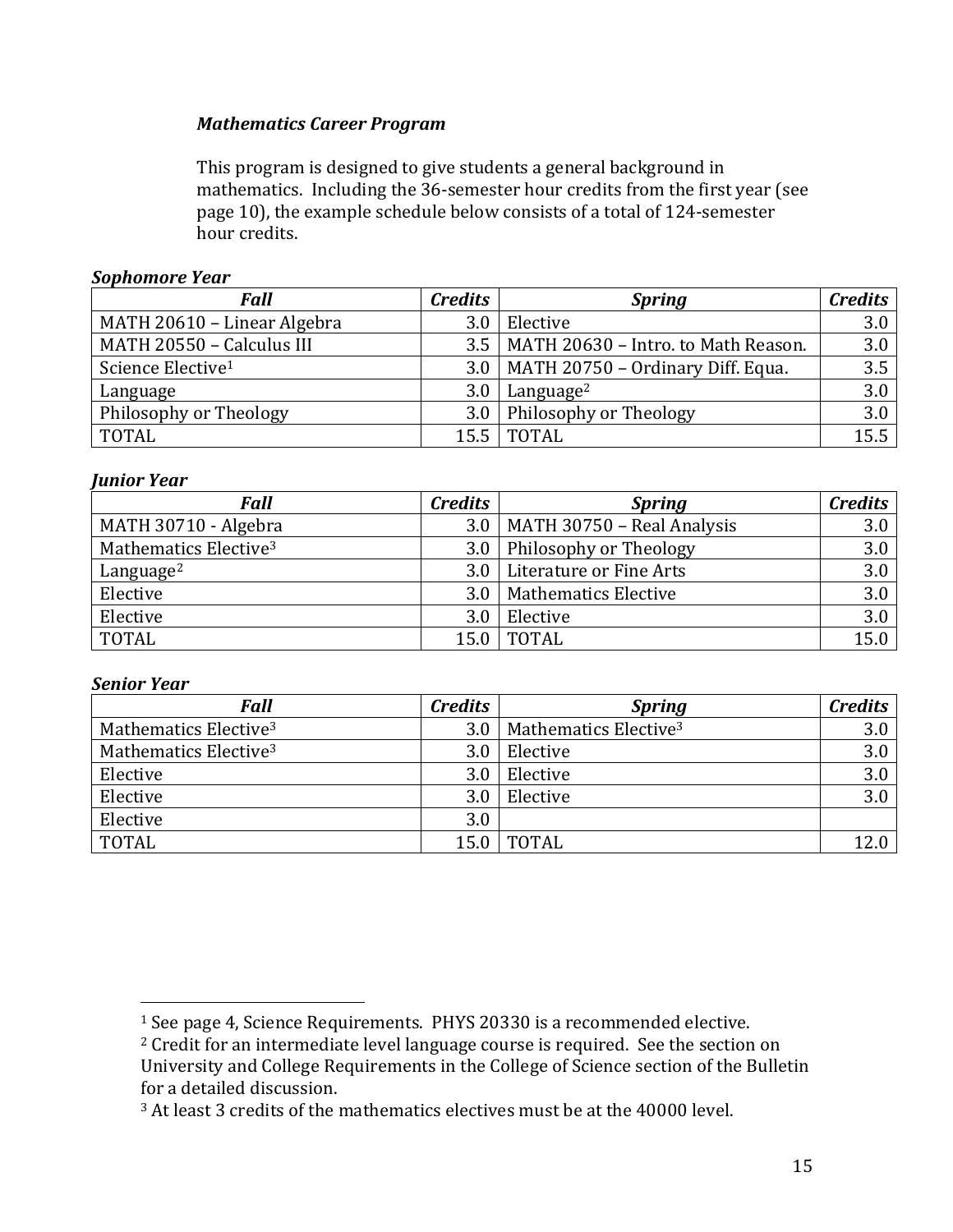# *Mathematics Career Program*

This program is designed to give students a general background in mathematics. Including the 36-semester hour credits from the first year (see page 10), the example schedule below consists of a total of 124-semester hour credits.

## *Sophomore Year*

| <b>Fall</b>                   | <b>Credits</b> | <b>Spring</b>                               | <b>Credits</b> |
|-------------------------------|----------------|---------------------------------------------|----------------|
| MATH 20610 - Linear Algebra   | 3.0            | Elective                                    | 3.0            |
| MATH 20550 - Calculus III     |                | $3.5$   MATH 20630 - Intro. to Math Reason. | 3.0            |
| Science Elective <sup>1</sup> |                | $3.0$   MATH 20750 - Ordinary Diff. Equa.   | 3.5            |
| Language                      | 3.0            | Language <sup>2</sup>                       | 3.0            |
| Philosophy or Theology        |                | 3.0 Philosophy or Theology                  | 3.0            |
| <b>TOTAL</b>                  | 15.5           | TOTAL                                       | 15.5           |

#### *Junior Year*

| Fall                              | <b>Credits</b> | <b>Spring</b>                      | <b>Credits</b> |
|-----------------------------------|----------------|------------------------------------|----------------|
| MATH 30710 - Algebra              |                | $3.0$   MATH 30750 - Real Analysis | 3.0            |
| Mathematics Elective <sup>3</sup> |                | 3.0 Philosophy or Theology         | 3.0            |
| Language <sup>2</sup>             |                | 3.0   Literature or Fine Arts      | 3.0            |
| Elective                          |                | 3.0   Mathematics Elective         | 3.0            |
| Elective                          | 3.0            | Elective                           | 3.0            |
| <b>TOTAL</b>                      |                | 15.0   TOTAL                       | 15.0           |

#### *Senior Year*

| <b>Fall</b>                       | <b>Credits</b> | <b>Spring</b>                     | <b>Credits</b> |
|-----------------------------------|----------------|-----------------------------------|----------------|
| Mathematics Elective <sup>3</sup> | 3.0            | Mathematics Elective <sup>3</sup> | 3.0            |
| Mathematics Elective <sup>3</sup> | 3.0            | Elective                          | 3.0            |
| Elective                          | 3.0            | Elective                          | 3.0            |
| Elective                          | 3.0            | Elective                          | 3.0            |
| Elective                          | 3.0            |                                   |                |
| <b>TOTAL</b>                      | 15.0           | <b>TOTAL</b>                      |                |

<sup>&</sup>lt;sup>1</sup> See page 4, Science Requirements. PHYS 20330 is a recommended elective.

 $2$  Credit for an intermediate level language course is required. See the section on University and College Requirements in the College of Science section of the Bulletin for a detailed discussion.

 $3$  At least 3 credits of the mathematics electives must be at the 40000 level.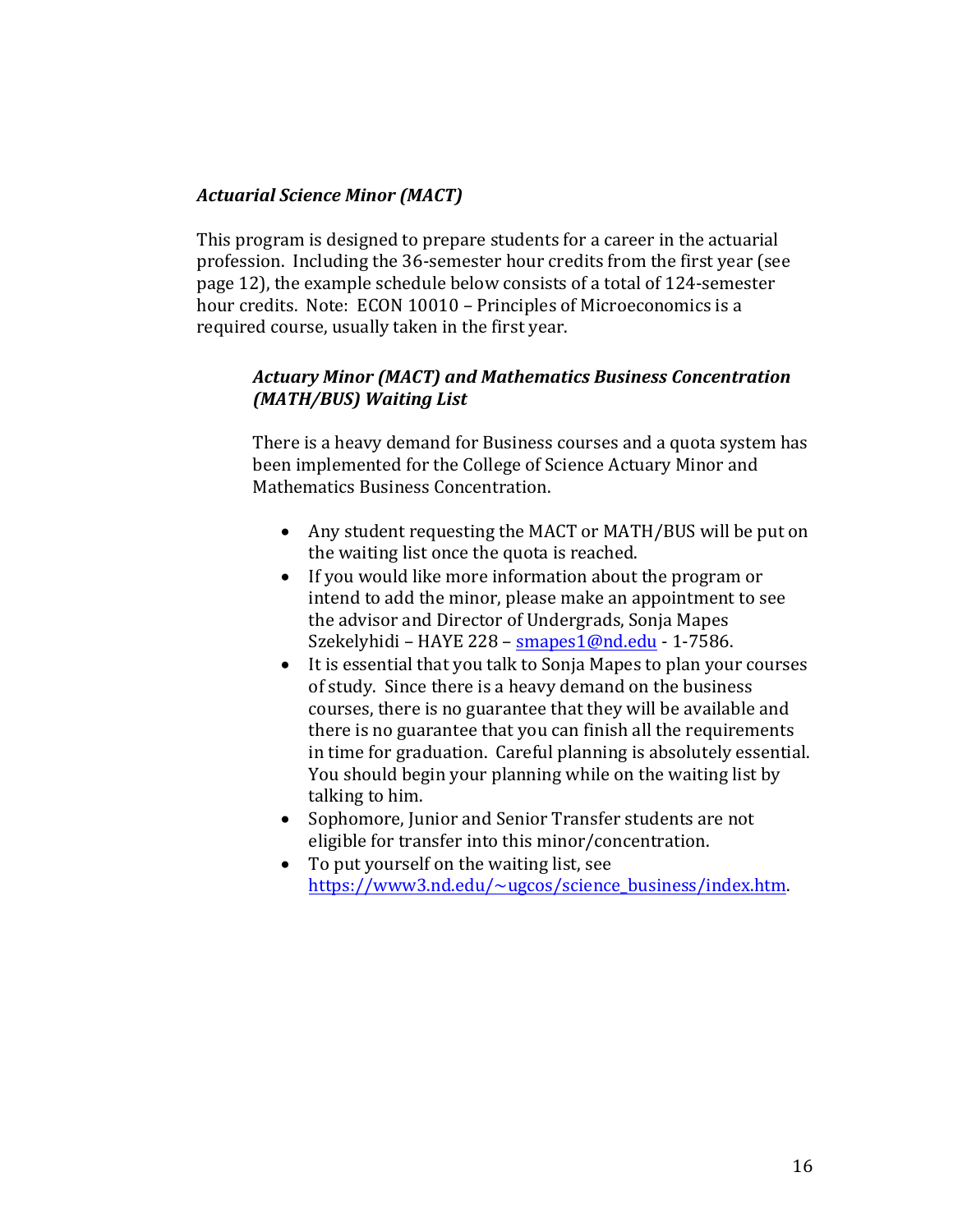## *Actuarial Science Minor (MACT)*

This program is designed to prepare students for a career in the actuarial profession. Including the 36-semester hour credits from the first year (see page 12), the example schedule below consists of a total of 124-semester hour credits. Note: ECON 10010 - Principles of Microeconomics is a required course, usually taken in the first year.

## Actuary Minor (MACT) and Mathematics Business Concentration *(MATH/BUS) Waiting List*

There is a heavy demand for Business courses and a quota system has been implemented for the College of Science Actuary Minor and Mathematics Business Concentration.

- Any student requesting the MACT or MATH/BUS will be put on the waiting list once the quota is reached.
- If you would like more information about the program or intend to add the minor, please make an appointment to see the advisor and Director of Undergrads, Sonja Mapes Szekelyhidi - HAYE 228 - smapes1@nd.edu - 1-7586.
- It is essential that you talk to Sonja Mapes to plan your courses of study. Since there is a heavy demand on the business courses, there is no guarantee that they will be available and there is no guarantee that you can finish all the requirements in time for graduation. Careful planning is absolutely essential. You should begin your planning while on the waiting list by talking to him.
- Sophomore, Junior and Senior Transfer students are not eligible for transfer into this minor/concentration.
- To put yourself on the waiting list, see https://www3.nd.edu/~ugcos/science\_business/index.htm.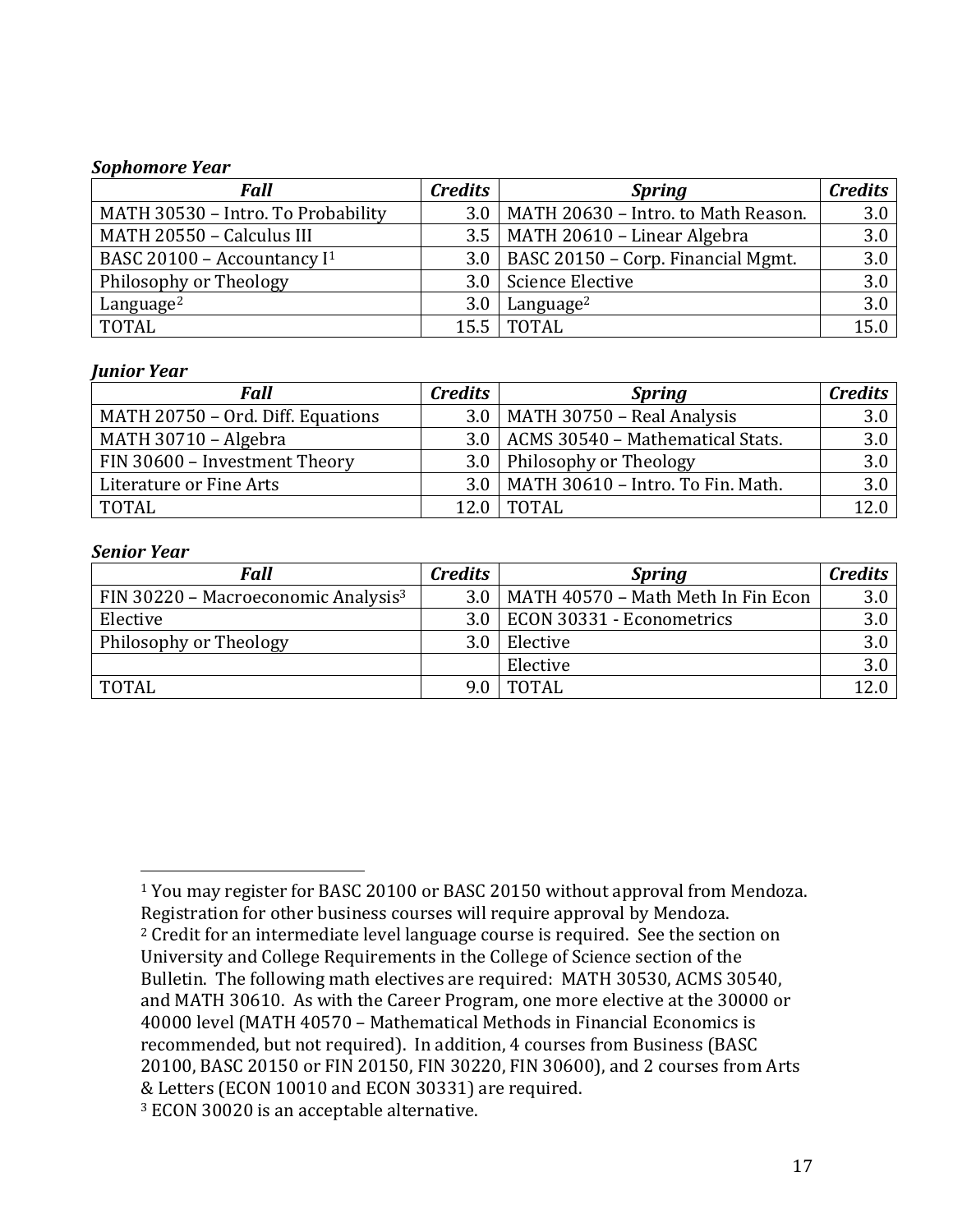#### *Sophomore Year*

| Fall                                    | <b>Credits</b>   | <b>Spring</b>                            | <b>Credits</b> |
|-----------------------------------------|------------------|------------------------------------------|----------------|
| MATH 30530 - Intro. To Probability      | 3.0              | MATH 20630 - Intro. to Math Reason.      | 3.0            |
| MATH 20550 - Calculus III               |                  | $3.5$   MATH 20610 - Linear Algebra      | 3.0            |
| BASC 20100 - Accountancy I <sup>1</sup> |                  | 3.0   BASC 20150 – Corp. Financial Mgmt. | 3.0            |
| Philosophy or Theology                  |                  | 3.0   Science Elective                   | 3.0            |
| Language <sup>2</sup>                   | 3.0 <sub>1</sub> | Language <sup>2</sup>                    | 3.0            |
| <b>TOTAL</b>                            |                  | 15.5   TOTAL                             | 15.0           |

#### *Junior Year*

| <b>Fall</b>                       | <b>Credits</b> | <b>Spring</b>                           | <b>Credits</b> |
|-----------------------------------|----------------|-----------------------------------------|----------------|
| MATH 20750 - Ord. Diff. Equations |                | $3.0$   MATH 30750 - Real Analysis      | 3.0            |
| MATH 30710 - Algebra              |                | 3.0   ACMS 30540 - Mathematical Stats.  | 3.0            |
| FIN 30600 - Investment Theory     |                | 3.0   Philosophy or Theology            | 3.0            |
| Literature or Fine Arts           |                | 3.0   MATH 30610 - Intro. To Fin. Math. | 3.0            |
| <b>TOTAL</b>                      | 12.0           | <b>TOTAL</b>                            | 12.0           |

#### *Senior Year*

 

| Fall                                            | <b>Credits</b> | <b>Spring</b>                      | <b>Credits</b> |
|-------------------------------------------------|----------------|------------------------------------|----------------|
| FIN 30220 - Macroeconomic Analysis <sup>3</sup> | 3.0            | MATH 40570 - Math Meth In Fin Econ | 3.0            |
| Elective                                        |                | 3.0   ECON 30331 - Econometrics    | 3.0            |
| Philosophy or Theology                          | 3.0            | Elective                           | 3.0            |
|                                                 |                | Elective                           | 3.0            |
| <b>TOTAL</b>                                    |                | <b>TOTAL</b>                       | 12.0           |

<sup>1</sup> You may register for BASC 20100 or BASC 20150 without approval from Mendoza. Registration for other business courses will require approval by Mendoza.  $2$  Credit for an intermediate level language course is required. See the section on University and College Requirements in the College of Science section of the Bulletin. The following math electives are required: MATH 30530, ACMS 30540, and MATH 30610. As with the Career Program, one more elective at the 30000 or 40000 level (MATH 40570 - Mathematical Methods in Financial Economics is recommended, but not required). In addition, 4 courses from Business (BASC 20100, BASC 20150 or FIN 20150, FIN 30220, FIN 30600), and 2 courses from Arts & Letters (ECON 10010 and ECON 30331) are required. <sup>3</sup> ECON 30020 is an acceptable alternative.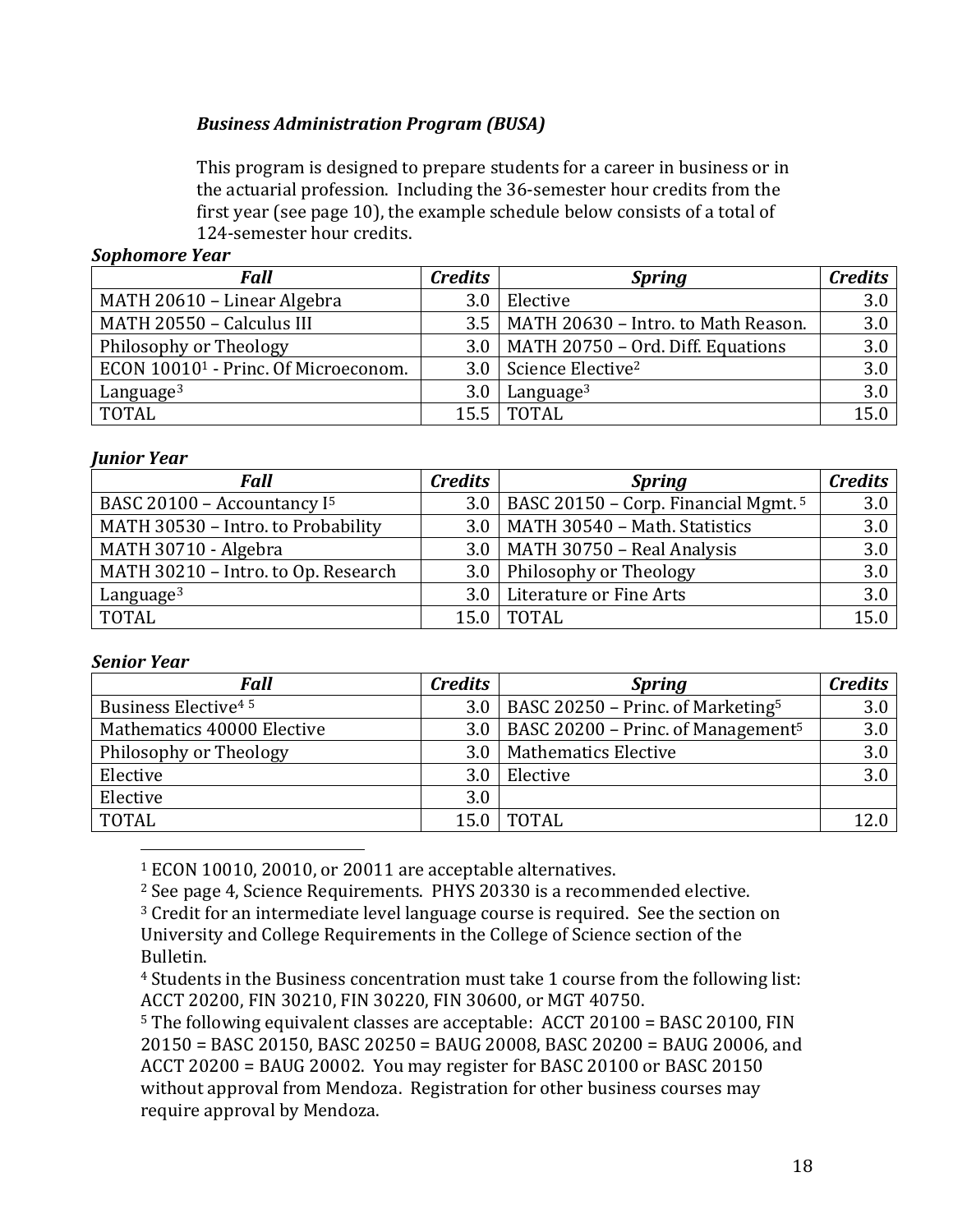# *Business Administration Program (BUSA)*

This program is designed to prepare students for a career in business or in the actuarial profession. Including the 36-semester hour credits from the first year (see page  $10$ ), the example schedule below consists of a total of 124-semester hour credits.

#### *Sophomore Year*

| Fall                                             | <b>Credits</b>   | <b>Spring</b>                               | <b>Credits</b> |
|--------------------------------------------------|------------------|---------------------------------------------|----------------|
| MATH 20610 - Linear Algebra                      | 3.0 <sub>1</sub> | Elective                                    | 3.0            |
| MATH 20550 - Calculus III                        |                  | $3.5$   MATH 20630 - Intro. to Math Reason. | 3.0            |
| Philosophy or Theology                           |                  | $3.0$   MATH 20750 – Ord. Diff. Equations   | 3.0            |
| ECON 10010 <sup>1</sup> - Princ. Of Microeconom. |                  | 3.0 Science Elective <sup>2</sup>           | 3.0            |
| Language $3$                                     | 3.0 <sub>1</sub> | Language <sup>3</sup>                       | 3.0            |
| TOTAL                                            |                  | 15.5   TOTAL                                | 15.0           |

#### *Junior Year*

| Fall                                    | <b>Credits</b> | <b>Spring</b>                                         | <b>Credits</b> |
|-----------------------------------------|----------------|-------------------------------------------------------|----------------|
| BASC 20100 - Accountancy I <sup>5</sup> |                | 3.0   BASC 20150 – Corp. Financial Mgmt. <sup>5</sup> | 3.0            |
| MATH 30530 - Intro. to Probability      |                | $3.0$   MATH 30540 - Math. Statistics                 | 3.0            |
| MATH 30710 - Algebra                    |                | $3.0$   MATH 30750 - Real Analysis                    | 3.0            |
| MATH 30210 - Intro. to Op. Research     |                | 3.0 Philosophy or Theology                            | 3.0            |
| Language $3$                            |                | 3.0   Literature or Fine Arts                         | 3.0            |
| <b>TOTAL</b>                            | 15.0           | I TOTAL                                               | 15.0           |

#### *Senior Year*

| <b>Fall</b>                     | <b>Credits</b> | <b>Spring</b>                                        | <b>Credits</b> |
|---------------------------------|----------------|------------------------------------------------------|----------------|
| Business Elective <sup>45</sup> |                | 3.0   BASC 20250 – Princ. of Marketing <sup>5</sup>  | 3.0            |
| Mathematics 40000 Elective      |                | 3.0   BASC 20200 – Princ. of Management <sup>5</sup> | 3.0            |
| Philosophy or Theology          | 3.0            | <b>Mathematics Elective</b>                          | 3.0            |
| Elective                        | 3.0            | Elective                                             | 3.0            |
| Elective                        | 3.0            |                                                      |                |
| <b>TOTAL</b>                    |                | <b>TOTAL</b>                                         |                |

<sup>1</sup> ECON 10010, 20010, or 20011 are acceptable alternatives.

 

 $2$  See page 4, Science Requirements. PHYS 20330 is a recommended elective.

<sup>3</sup> Credit for an intermediate level language course is required. See the section on University and College Requirements in the College of Science section of the Bulletin.

<sup>4</sup> Students in the Business concentration must take 1 course from the following list: ACCT 20200, FIN 30210, FIN 30220, FIN 30600, or MGT 40750.

 $5$  The following equivalent classes are acceptable: ACCT 20100 = BASC 20100, FIN  $20150 =$  BASC 20150, BASC 20250 = BAUG 20008, BASC 20200 = BAUG 20006, and ACCT 20200 = BAUG 20002. You may register for BASC 20100 or BASC 20150 without approval from Mendoza. Registration for other business courses may require approval by Mendoza.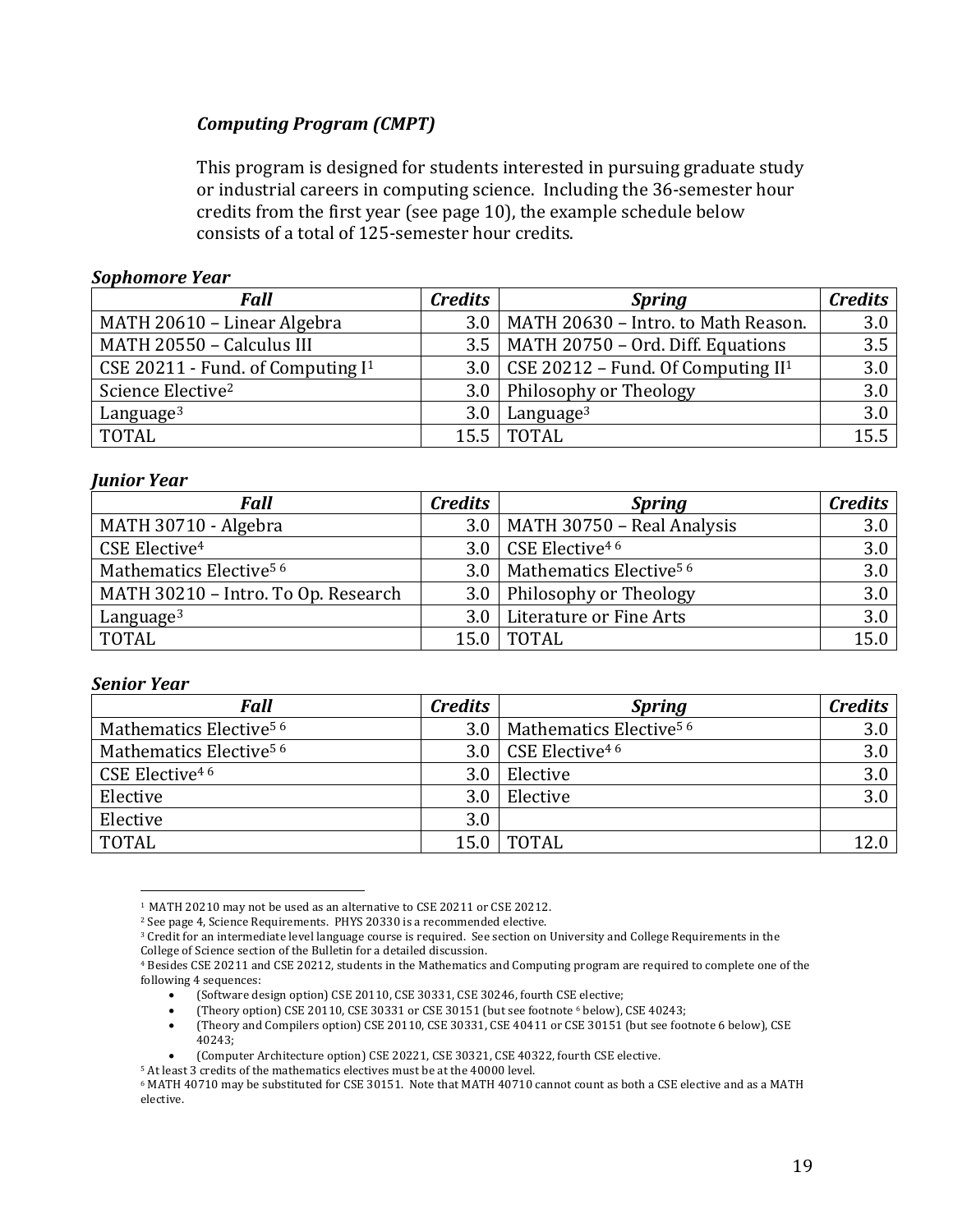# *Computing Program (CMPT)*

This program is designed for students interested in pursuing graduate study or industrial careers in computing science. Including the 36-semester hour credits from the first year (see page  $10$ ), the example schedule below consists of a total of 125-semester hour credits.

#### *Sophomore Year*

| <b>Fall</b>                         | <b>Credits</b>   | <b>Spring</b>                             | <b>Credits</b> |
|-------------------------------------|------------------|-------------------------------------------|----------------|
| MATH 20610 - Linear Algebra         | 3.0 <sub>1</sub> | MATH 20630 - Intro. to Math Reason.       | 3.0            |
| MATH 20550 - Calculus III           |                  | 3.5   MATH 20750 - Ord. Diff. Equations   | 3.5            |
| CSE 20211 - Fund. of Computing $I1$ |                  | 3.0 CSE 20212 – Fund. Of Computing $II^1$ | 3.0            |
| Science Elective <sup>2</sup>       | 3.0 <sub>1</sub> | Philosophy or Theology                    | 3.0            |
| Language $3$                        | 3.0 <sub>1</sub> | Language <sup>3</sup>                     | 3.0            |
| <b>TOTAL</b>                        |                  | 15.5   TOTAL                              | 15.5           |

#### *Junior Year*

| <b>Fall</b>                         | <b>Credits</b> | <b>Spring</b>                            | <b>Credits</b> |
|-------------------------------------|----------------|------------------------------------------|----------------|
| MATH 30710 - Algebra                | 3.0            | MATH 30750 - Real Analysis               | 3.0            |
| CSE Elective <sup>4</sup>           | 3.0            | CSE Elective <sup>46</sup>               | 3.0            |
| Mathematics Elective <sup>56</sup>  |                | 3.0   Mathematics Elective <sup>56</sup> | 3.0            |
| MATH 30210 - Intro. To Op. Research |                | 3.0   Philosophy or Theology             | 3.0            |
| Language $3$                        |                | 3.0   Literature or Fine Arts            | 3.0            |
| <b>TOTAL</b>                        |                | <b>TOTAL</b>                             | 15.0           |

#### *Senior Year*

| <b>Fall</b>                        | <b>Credits</b> | <b>Spring</b>                      | <b>Credits</b> |
|------------------------------------|----------------|------------------------------------|----------------|
| Mathematics Elective <sup>56</sup> | 3.0            | Mathematics Elective <sup>56</sup> | 3.0            |
| Mathematics Elective <sup>56</sup> |                | 3.0 CSE Elective <sup>46</sup>     | 3.0            |
| CSE Elective <sup>46</sup>         | 3.0            | Elective                           | 3.0            |
| Elective                           | 3.0            | Elective                           | 3.0            |
| Elective                           | 3.0            |                                    |                |
| TOTAL                              |                | <b>TOTAL</b>                       |                |

<sup>&</sup>lt;sup>1</sup> MATH 20210 may not be used as an alternative to CSE 20211 or CSE 20212.

 $2$  See page 4, Science Requirements. PHYS 20330 is a recommended elective.

<sup>&</sup>lt;sup>3</sup> Credit for an intermediate level language course is required. See section on University and College Requirements in the College of Science section of the Bulletin for a detailed discussion.

<sup>4</sup> Besides CSE 20211 and CSE 20212, students in the Mathematics and Computing program are required to complete one of the following 4 sequences:

 $($ Software design option) CSE 20110, CSE 30331, CSE 30246, fourth CSE elective;

<sup>(</sup>Theory option)  $CSE$  20110,  $CSE$  30331 or  $CSE$  30151 (but see footnote  $6$  below),  $CSE$  40243;

<sup>• (</sup>Theory and Compilers option) CSE 20110, CSE 30331, CSE 40411 or CSE 30151 (but see footnote 6 below), CSE 40243;

<sup>(</sup>Computer Architecture option) CSE 20221, CSE 30321, CSE 40322, fourth CSE elective.

 $^{\rm 5}$  At least 3 credits of the mathematics electives must be at the 40000 level.

 $6$  MATH 40710 may be substituted for CSE 30151. Note that MATH 40710 cannot count as both a CSE elective and as a MATH elective.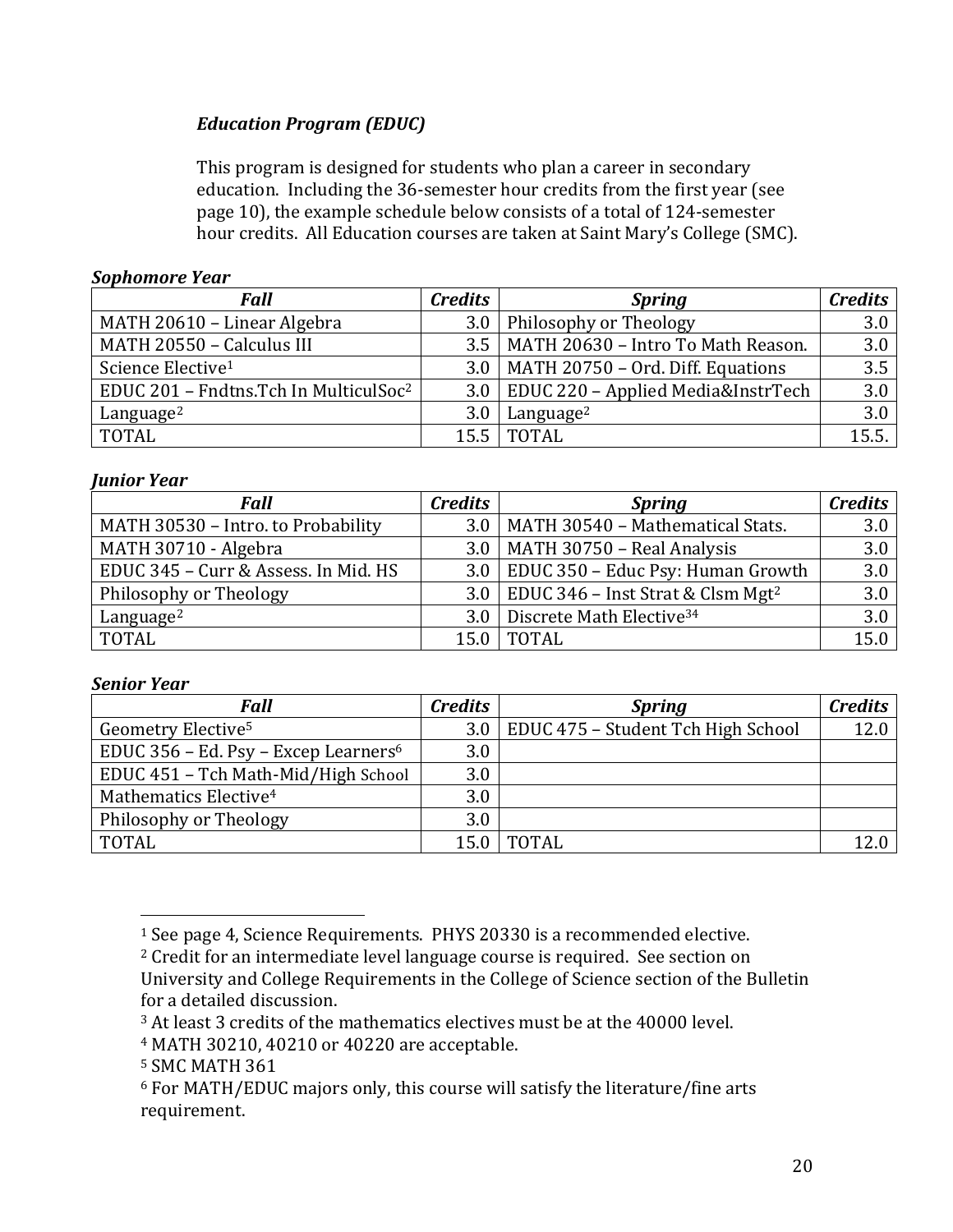# *Education Program (EDUC)*

This program is designed for students who plan a career in secondary education. Including the 36-semester hour credits from the first year (see page 10), the example schedule below consists of a total of 124-semester hour credits. All Education courses are taken at Saint Mary's College (SMC).

## *Sophomore Year*

| <b>Fall</b>                                       | <b>Credits</b>   | <b>Spring</b>                             | <b>Credits</b> |
|---------------------------------------------------|------------------|-------------------------------------------|----------------|
| MATH 20610 - Linear Algebra                       | 3.0 <sub>1</sub> | Philosophy or Theology                    | 3.0            |
| MATH 20550 - Calculus III                         |                  | 3.5   MATH 20630 - Intro To Math Reason.  | 3.0            |
| Science Elective <sup>1</sup>                     |                  | $3.0$   MATH 20750 - Ord. Diff. Equations | 3.5            |
| EDUC 201 - Fndtns.Tch In MulticulSoc <sup>2</sup> |                  | 3.0   EDUC 220 - Applied Media&InstrTech  | 3.0            |
| Language <sup>2</sup>                             | 3.0 <sub>1</sub> | Language <sup>2</sup>                     | 3.0            |
| <b>TOTAL</b>                                      |                  | 15.5   TOTAL                              | 15.5.          |

## *Junior Year*

| <b>Fall</b>                          | <b>Credits</b> | <b>Spring</b>                                       | <b>Credits</b> |
|--------------------------------------|----------------|-----------------------------------------------------|----------------|
| MATH 30530 - Intro. to Probability   |                | 3.0   MATH 30540 - Mathematical Stats.              | 3.0            |
| MATH 30710 - Algebra                 |                | $3.0$   MATH 30750 - Real Analysis                  | 3.0            |
| EDUC 345 - Curr & Assess. In Mid. HS |                | $3.0$   EDUC 350 – Educ Psy: Human Growth           | 3.0            |
| Philosophy or Theology               |                | 3.0   EDUC 346 – Inst Strat & Clsm Mgt <sup>2</sup> | 3.0            |
| Language <sup>2</sup>                |                | 3.0 Discrete Math Elective <sup>34</sup>            | 3.0            |
| TOTAL                                |                | <b>TOTAL</b>                                        | 15.0           |

## *Senior Year*

| <b>Fall</b>                                      | <b>Credits</b> | <b>Spring</b>                            | <b>Credits</b> |
|--------------------------------------------------|----------------|------------------------------------------|----------------|
| Geometry Elective <sup>5</sup>                   |                | 3.0   EDUC 475 - Student Tch High School | 12.0           |
| EDUC 356 - Ed. Psy - Excep Learners <sup>6</sup> | 3.0            |                                          |                |
| EDUC 451 - Tch Math-Mid/High School              | 3.0            |                                          |                |
| Mathematics Elective <sup>4</sup>                | 3.0            |                                          |                |
| Philosophy or Theology                           | 3.0            |                                          |                |
| <b>TOTAL</b>                                     | 15.0           | TOTAL                                    |                |

<sup>&</sup>lt;sup>1</sup> See page 4, Science Requirements. PHYS 20330 is a recommended elective.

<sup>&</sup>lt;sup>2</sup> Credit for an intermediate level language course is required. See section on University and College Requirements in the College of Science section of the Bulletin

for a detailed discussion.

<sup>&</sup>lt;sup>3</sup> At least 3 credits of the mathematics electives must be at the 40000 level.

<sup>&</sup>lt;sup>4</sup> MATH 30210, 40210 or 40220 are acceptable.

<sup>&</sup>lt;sup>5</sup> SMC MATH 361

 $6$  For MATH/EDUC majors only, this course will satisfy the literature/fine arts requirement.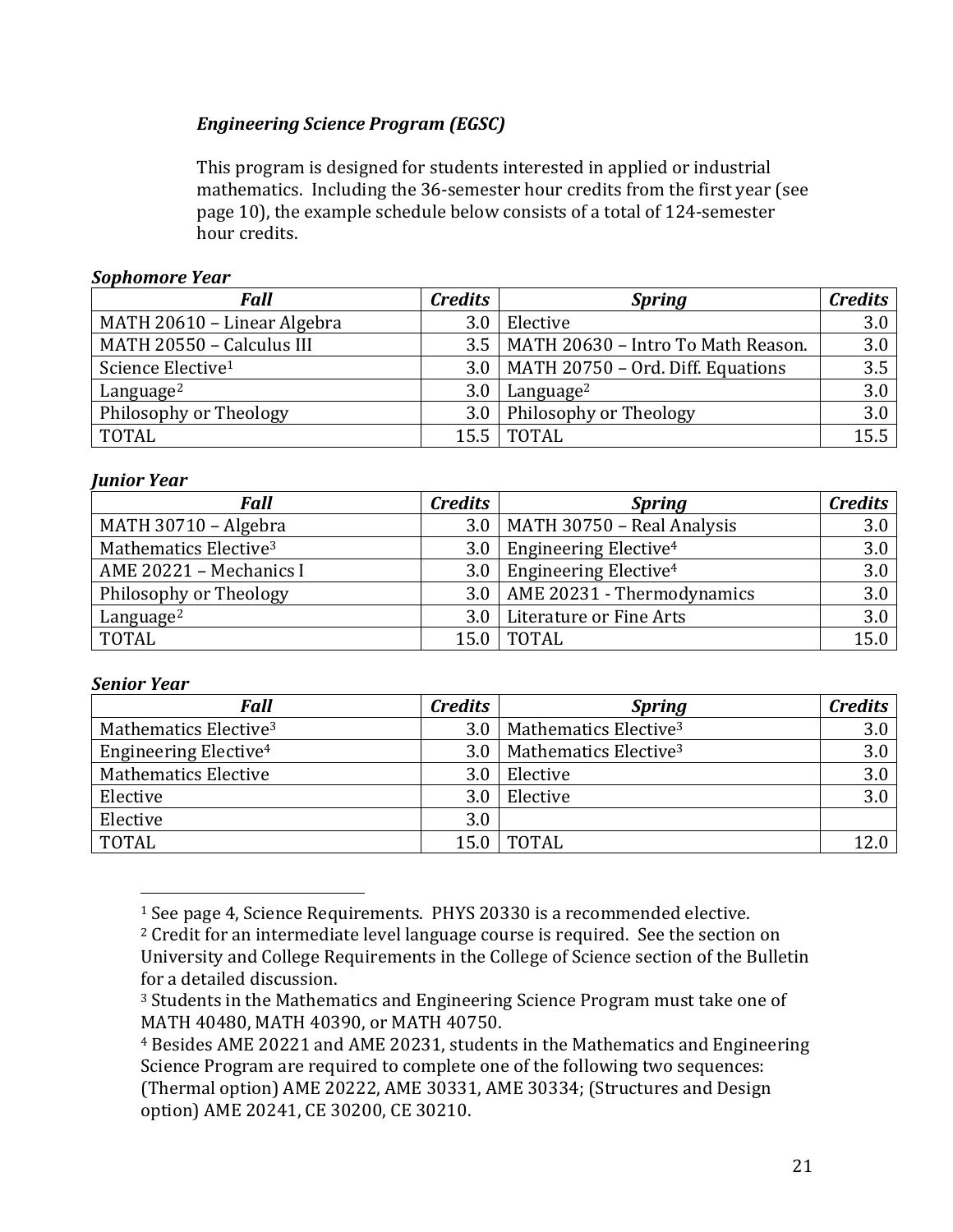# *Engineering Science Program (EGSC)*

This program is designed for students interested in applied or industrial mathematics. Including the 36-semester hour credits from the first year (see page 10), the example schedule below consists of a total of 124-semester hour credits.

# *Sophomore Year*

| <b>Fall</b>                   | <b>Credits</b> | <b>Spring</b>                             | <b>Credits</b> |
|-------------------------------|----------------|-------------------------------------------|----------------|
| MATH 20610 - Linear Algebra   | 3.0            | Elective                                  | 3.0            |
| MATH 20550 - Calculus III     |                | 3.5   MATH 20630 - Intro To Math Reason.  | 3.0            |
| Science Elective <sup>1</sup> |                | $3.0$   MATH 20750 - Ord. Diff. Equations | 3.5            |
| Language <sup>2</sup>         | 3.0            | Language <sup>2</sup>                     | 3.0            |
| Philosophy or Theology        |                | 3.0 Philosophy or Theology                | 3.0            |
| <b>TOTAL</b>                  | 15.5           | TOTAL                                     | 15.5           |

## *Junior Year*

| <b>Fall</b>                       | <b>Credits</b> | <b>Spring</b>                           | <b>Credits</b> |
|-----------------------------------|----------------|-----------------------------------------|----------------|
| MATH 30710 - Algebra              |                | $3.0$   MATH 30750 - Real Analysis      | 3.0            |
| Mathematics Elective <sup>3</sup> |                | 3.0   Engineering Elective <sup>4</sup> | 3.0            |
| AME 20221 - Mechanics I           |                | 3.0   Engineering Elective <sup>4</sup> | 3.0            |
| Philosophy or Theology            |                | $3.0$   AME 20231 - Thermodynamics      | 3.0            |
| Language <sup>2</sup>             |                | 3.0   Literature or Fine Arts           | 3.0            |
| <b>TOTAL</b>                      |                | <b>TOTAL</b>                            | 15.0           |

## *Senior Year*

| <b>Fall</b>                       | <b>Credits</b>   | <b>Spring</b>                     | <b>Credits</b> |
|-----------------------------------|------------------|-----------------------------------|----------------|
| Mathematics Elective <sup>3</sup> | 3.0              | Mathematics Elective <sup>3</sup> | 3.0            |
| Engineering Elective <sup>4</sup> | 3.0 <sub>1</sub> | Mathematics Elective <sup>3</sup> | 3.0            |
| <b>Mathematics Elective</b>       | 3.0              | Elective                          | 3.0            |
| Elective                          | 3.0              | Elective                          | 3.0            |
| Elective                          | 3.0              |                                   |                |
| <b>TOTAL</b>                      | 15.0             | <b>TOTAL</b>                      |                |

<sup>&</sup>lt;sup>1</sup> See page 4, Science Requirements. PHYS 20330 is a recommended elective.

 $2$  Credit for an intermediate level language course is required. See the section on University and College Requirements in the College of Science section of the Bulletin for a detailed discussion.

<sup>&</sup>lt;sup>3</sup> Students in the Mathematics and Engineering Science Program must take one of MATH 40480, MATH 40390, or MATH 40750.

<sup>&</sup>lt;sup>4</sup> Besides AME 20221 and AME 20231, students in the Mathematics and Engineering Science Program are required to complete one of the following two sequences: (Thermal option) AME 20222, AME 30331, AME 30334; (Structures and Design option) AME 20241, CE 30200, CE 30210.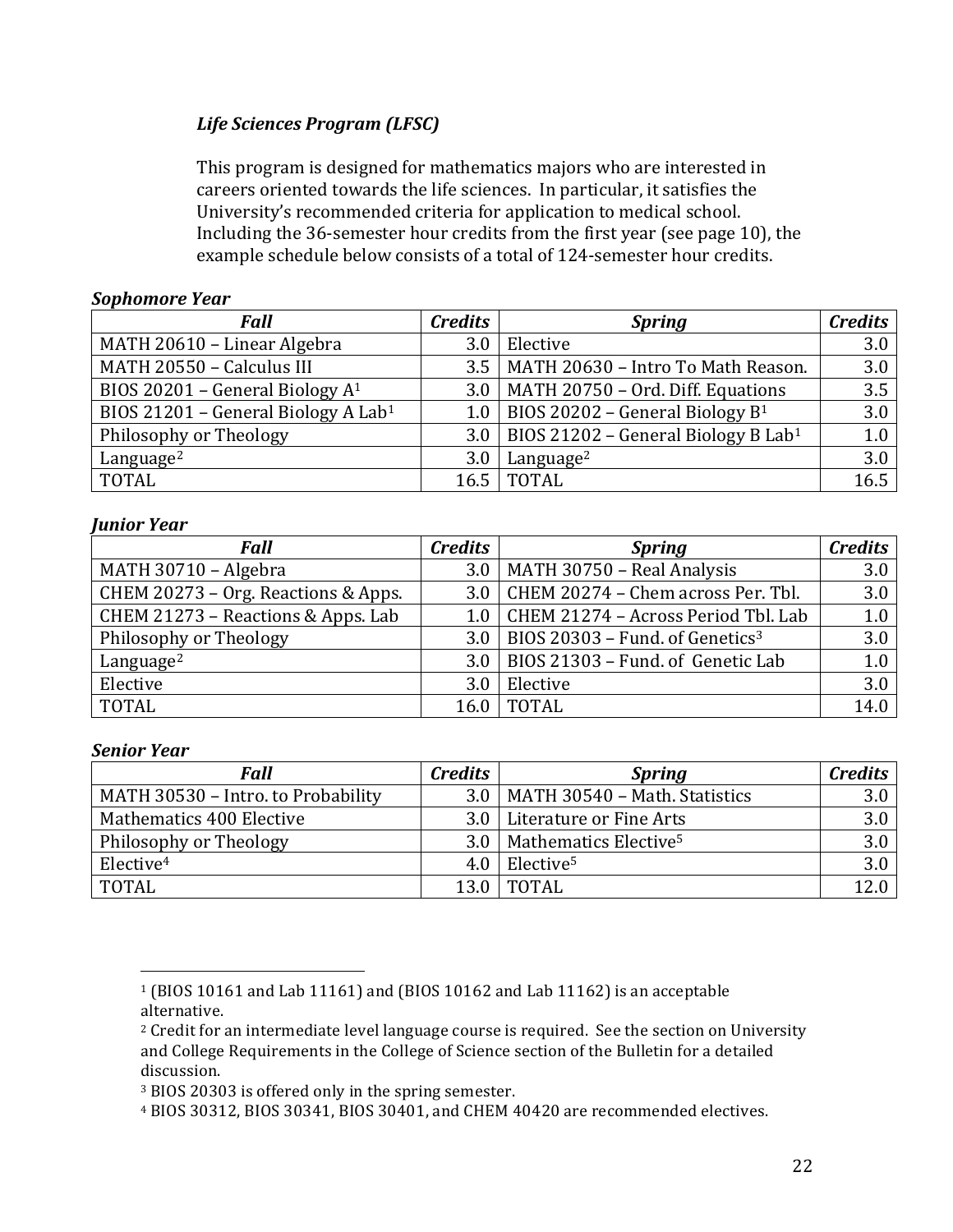# *Life Sciences Program (LFSC)*

This program is designed for mathematics majors who are interested in careers oriented towards the life sciences. In particular, it satisfies the University's recommended criteria for application to medical school. Including the  $36$ -semester hour credits from the first year (see page 10), the example schedule below consists of a total of 124-semester hour credits.

### *Sophomore Year*

| <b>Fall</b>                                     | <b>Credits</b> | <b>Spring</b>                                         | <b>Credits</b> |
|-------------------------------------------------|----------------|-------------------------------------------------------|----------------|
| MATH 20610 - Linear Algebra                     | 3.0            | Elective                                              | 3.0            |
| MATH 20550 - Calculus III                       |                | 3.5   MATH 20630 - Intro To Math Reason.              | 3.0            |
| BIOS 20201 - General Biology $A^1$              |                | $3.0$   MATH 20750 – Ord. Diff. Equations             | 3.5            |
| BIOS 21201 - General Biology A Lab <sup>1</sup> | 1.0            | BIOS 20202 - General Biology $B^1$                    | 3.0            |
| Philosophy or Theology                          |                | 3.0   BIOS 21202 – General Biology B Lab <sup>1</sup> | 1.0            |
| Language <sup>2</sup>                           | 3.0            | Language <sup>2</sup>                                 | 3.0            |
| <b>TOTAL</b>                                    |                | 16.5   TOTAL                                          | 16.5           |

#### *Junior Year*

| <b>Fall</b>                         | <b>Credits</b> | <b>Spring</b>                                     | <b>Credits</b> |
|-------------------------------------|----------------|---------------------------------------------------|----------------|
| MATH 30710 - Algebra                |                | $3.0$   MATH 30750 - Real Analysis                | 3.0            |
| CHEM 20273 - Org. Reactions & Apps. |                | $3.0$ CHEM 20274 – Chem across Per. Tbl.          | 3.0            |
| CHEM 21273 - Reactions & Apps. Lab  |                | 1.0   CHEM 21274 - Across Period Tbl. Lab         | 1.0            |
| Philosophy or Theology              |                | 3.0   BIOS 20303 - Fund. of Genetics <sup>3</sup> | 3.0            |
| Language <sup>2</sup>               |                | $3.0$   BIOS 21303 - Fund. of Genetic Lab         | 1.0            |
| Elective                            | 3.0            | Elective                                          | 3.0            |
| <b>TOTAL</b>                        |                | 16.0   TOTAL                                      | 14.0           |

#### *Senior Year*

| <b>Fall</b>                        | <b>Credits</b> | <b>Spring</b>                           | <b>Credits</b> |
|------------------------------------|----------------|-----------------------------------------|----------------|
| MATH 30530 - Intro. to Probability |                | $3.0$   MATH 30540 - Math. Statistics   | 3.0            |
| Mathematics 400 Elective           |                | 3.0   Literature or Fine Arts           | 3.0            |
| Philosophy or Theology             |                | 3.0   Mathematics Elective <sup>5</sup> | 3.0            |
| Elective <sup>4</sup>              | 4.0 l          | Elective <sup>5</sup>                   | 3.0            |
| <b>TOTAL</b>                       |                | <b>TOTAL</b>                            |                |

 $1$  (BIOS 10161 and Lab 11161) and (BIOS 10162 and Lab 11162) is an acceptable alternative.

 $2$  Credit for an intermediate level language course is required. See the section on University and College Requirements in the College of Science section of the Bulletin for a detailed discussion.

<sup>&</sup>lt;sup>3</sup> BIOS 20303 is offered only in the spring semester.

<sup>&</sup>lt;sup>4</sup> BIOS 30312, BIOS 30341, BIOS 30401, and CHEM 40420 are recommended electives.